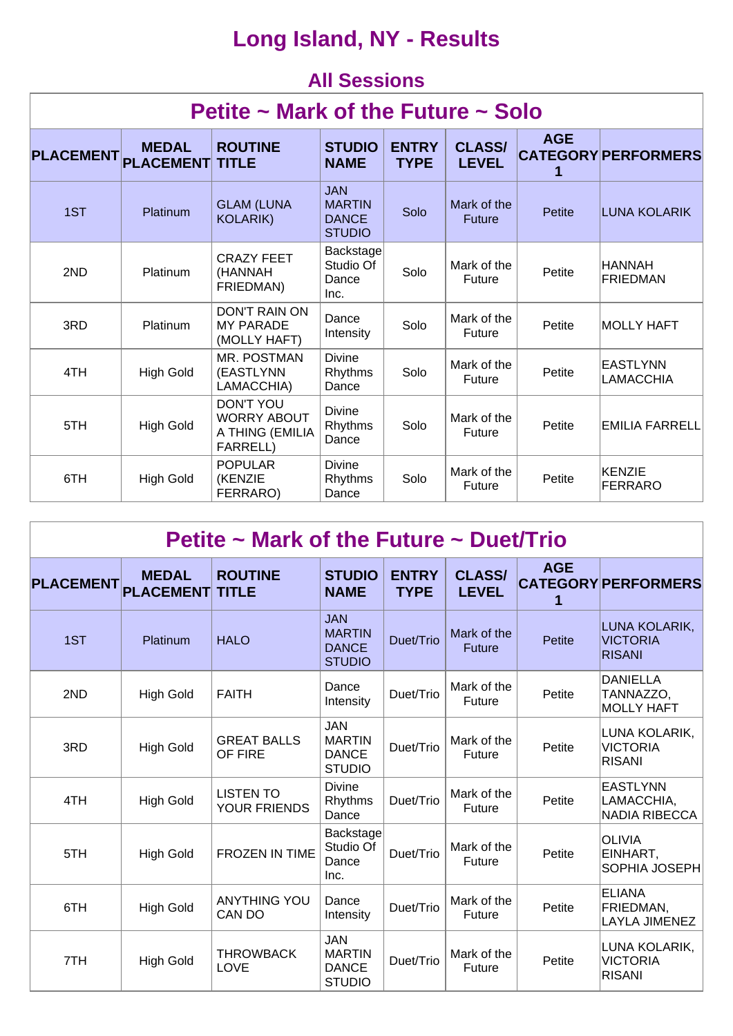## **Long Island, NY - Results**

### **All Sessions**

| Petite $\sim$ Mark of the Future $\sim$ Solo |                                  |                                                                              |                                                              |                             |                               |            |                                     |  |  |  |
|----------------------------------------------|----------------------------------|------------------------------------------------------------------------------|--------------------------------------------------------------|-----------------------------|-------------------------------|------------|-------------------------------------|--|--|--|
| <b>PLACEMENT</b>                             | <b>MEDAL</b><br><b>PLACEMENT</b> | <b>ROUTINE</b><br><b>TITLE</b>                                               | <b>STUDIO</b><br><b>NAME</b>                                 | <b>ENTRY</b><br><b>TYPE</b> | <b>CLASS/</b><br><b>LEVEL</b> | <b>AGE</b> | <b>CATEGORY PERFORMERS</b>          |  |  |  |
| 1ST                                          | Platinum                         | <b>GLAM (LUNA</b><br><b>KOLARIK)</b>                                         | <b>JAN</b><br><b>MARTIN</b><br><b>DANCE</b><br><b>STUDIO</b> | Solo                        | Mark of the<br><b>Future</b>  | Petite     | <b>LUNA KOLARIK</b>                 |  |  |  |
| 2ND                                          | Platinum                         | <b>CRAZY FEET</b><br>(HANNAH<br>FRIEDMAN)                                    | Backstage<br>Studio Of<br>Dance<br>Inc.                      | Solo                        | Mark of the<br>Future         | Petite     | HANNAH<br><b>FRIEDMAN</b>           |  |  |  |
| 3RD                                          | Platinum                         | <b>DON'T RAIN ON</b><br><b>MY PARADE</b><br>(MOLLY HAFT)                     | Dance<br>Intensity                                           | Solo                        | Mark of the<br><b>Future</b>  | Petite     | <b>MOLLY HAFT</b>                   |  |  |  |
| 4TH                                          | <b>High Gold</b>                 | MR. POSTMAN<br>(EASTLYNN<br>LAMACCHIA)                                       | <b>Divine</b><br>Rhythms<br>Dance                            | Solo                        | Mark of the<br><b>Future</b>  | Petite     | <b>EASTLYNN</b><br><b>LAMACCHIA</b> |  |  |  |
| 5TH                                          | <b>High Gold</b>                 | <b>DON'T YOU</b><br><b>WORRY ABOUT</b><br>A THING (EMILIA<br><b>FARRELL)</b> | <b>Divine</b><br>Rhythms<br>Dance                            | Solo                        | Mark of the<br><b>Future</b>  | Petite     | <b>EMILIA FARRELL</b>               |  |  |  |
| 6TH                                          | <b>High Gold</b>                 | <b>POPULAR</b><br>(KENZIE<br>FERRARO)                                        | <b>Divine</b><br>Rhythms<br>Dance                            | Solo                        | Mark of the<br>Future         | Petite     | KENZIE<br><b>FERRARO</b>            |  |  |  |

| Petite ~ Mark of the Future ~ Duet/Trio |                                  |                                         |                                                              |                             |                               |               |                                                       |  |  |  |
|-----------------------------------------|----------------------------------|-----------------------------------------|--------------------------------------------------------------|-----------------------------|-------------------------------|---------------|-------------------------------------------------------|--|--|--|
| <b>PLACEMENT</b>                        | <b>MEDAL</b><br><b>PLACEMENT</b> | <b>ROUTINE</b><br><b>TITLE</b>          | <b>STUDIO</b><br><b>NAME</b>                                 | <b>ENTRY</b><br><b>TYPE</b> | <b>CLASS/</b><br><b>LEVEL</b> | <b>AGE</b>    | <b>CATEGORY PERFORMERS</b>                            |  |  |  |
| 1ST                                     | Platinum                         | <b>HALO</b>                             | <b>JAN</b><br><b>MARTIN</b><br><b>DANCE</b><br><b>STUDIO</b> | Duet/Trio                   | Mark of the<br><b>Future</b>  | <b>Petite</b> | LUNA KOLARIK,<br><b>VICTORIA</b><br><b>RISANI</b>     |  |  |  |
| 2ND                                     | <b>High Gold</b>                 | <b>FAITH</b>                            | Dance<br>Intensity                                           | Duet/Trio                   | Mark of the<br>Future         | Petite        | <b>DANIELLA</b><br>TANNAZZO,<br><b>MOLLY HAFT</b>     |  |  |  |
| 3RD                                     | <b>High Gold</b>                 | <b>GREAT BALLS</b><br>OF FIRE           | <b>JAN</b><br><b>MARTIN</b><br><b>DANCE</b><br><b>STUDIO</b> | Duet/Trio                   | Mark of the<br><b>Future</b>  | Petite        | LUNA KOLARIK,<br><b>VICTORIA</b><br><b>RISANI</b>     |  |  |  |
| 4TH                                     | <b>High Gold</b>                 | <b>LISTEN TO</b><br><b>YOUR FRIENDS</b> | <b>Divine</b><br>Rhythms<br>Dance                            | Duet/Trio                   | Mark of the<br><b>Future</b>  | Petite        | <b>EASTLYNN</b><br>LAMACCHIA,<br><b>NADIA RIBECCA</b> |  |  |  |
| 5TH                                     | <b>High Gold</b>                 | <b>FROZEN IN TIME</b>                   | Backstage<br>Studio Of<br>Dance<br>Inc.                      | Duet/Trio                   | Mark of the<br><b>Future</b>  | Petite        | <b>OLIVIA</b><br>EINHART,<br>SOPHIA JOSEPH            |  |  |  |
| 6TH                                     | <b>High Gold</b>                 | <b>ANYTHING YOU</b><br>CAN DO           | Dance<br>Intensity                                           | Duet/Trio                   | Mark of the<br>Future         | Petite        | <b>ELIANA</b><br>FRIEDMAN,<br><b>LAYLA JIMENEZ</b>    |  |  |  |
| 7TH                                     | <b>High Gold</b>                 | <b>THROWBACK</b><br>LOVE                | <b>JAN</b><br><b>MARTIN</b><br><b>DANCE</b><br><b>STUDIO</b> | Duet/Trio                   | Mark of the<br>Future         | Petite        | LUNA KOLARIK,<br><b>VICTORIA</b><br><b>RISANI</b>     |  |  |  |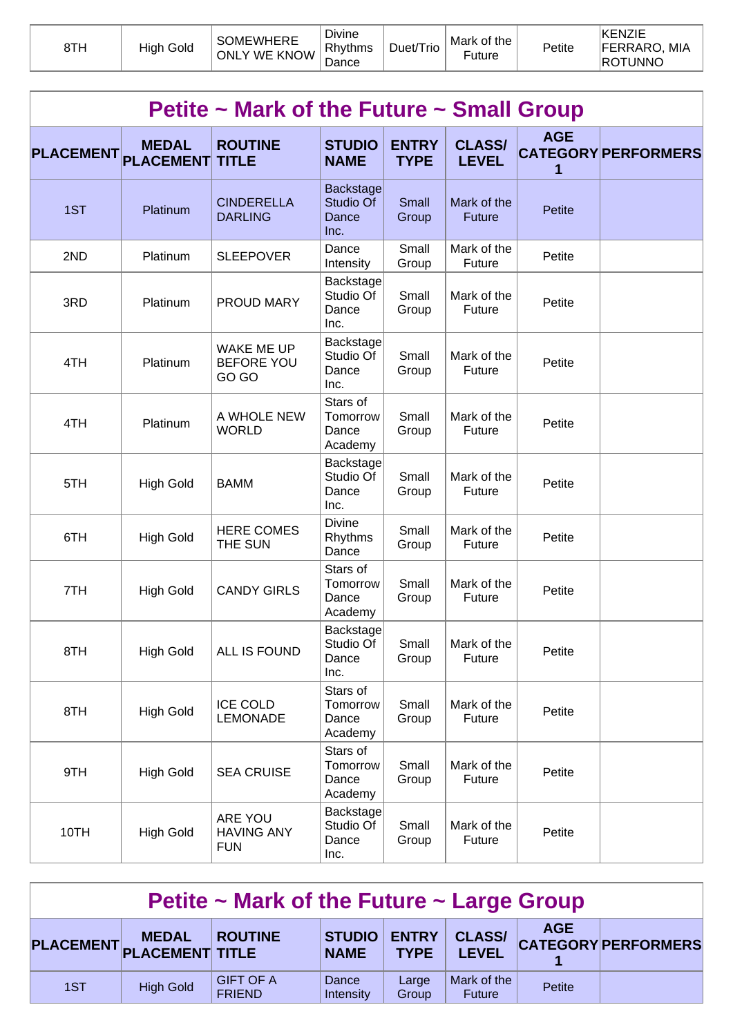| 8TH | High Gold | <b>SOMEWHERE</b><br><b>ONLY WE KNOW</b> | <b>Divine</b><br>Rhythms<br>∽<br>Dance | Duet/Trio | Mark of the<br>Future | Petite | KENZIE<br><b>FERRARO, MIA</b><br>ROTUNNO |
|-----|-----------|-----------------------------------------|----------------------------------------|-----------|-----------------------|--------|------------------------------------------|
|-----|-----------|-----------------------------------------|----------------------------------------|-----------|-----------------------|--------|------------------------------------------|

|                  | Petite ~ Mark of the Future ~ Small Group |                                                 |                                          |                             |                               |                 |                            |  |  |  |  |
|------------------|-------------------------------------------|-------------------------------------------------|------------------------------------------|-----------------------------|-------------------------------|-----------------|----------------------------|--|--|--|--|
| <b>PLACEMENT</b> | <b>MEDAL</b><br><b>PLACEMENT</b>          | <b>ROUTINE</b><br><b>TITLE</b>                  | <b>STUDIO</b><br><b>NAME</b>             | <b>ENTRY</b><br><b>TYPE</b> | <b>CLASS/</b><br><b>LEVEL</b> | <b>AGE</b><br>1 | <b>CATEGORY PERFORMERS</b> |  |  |  |  |
| 1ST              | Platinum                                  | <b>CINDERELLA</b><br><b>DARLING</b>             | Backstage<br>Studio Of<br>Dance<br>Inc.  | Small<br>Group              | Mark of the<br><b>Future</b>  | Petite          |                            |  |  |  |  |
| 2ND              | Platinum                                  | <b>SLEEPOVER</b>                                | Dance<br>Intensity                       | Small<br>Group              | Mark of the<br>Future         | Petite          |                            |  |  |  |  |
| 3RD              | Platinum                                  | PROUD MARY                                      | Backstage<br>Studio Of<br>Dance<br>Inc.  | Small<br>Group              | Mark of the<br>Future         | Petite          |                            |  |  |  |  |
| 4TH              | Platinum                                  | <b>WAKE ME UP</b><br><b>BEFORE YOU</b><br>GO GO | Backstage<br>Studio Of<br>Dance<br>Inc.  | Small<br>Group              | Mark of the<br>Future         | Petite          |                            |  |  |  |  |
| 4TH              | Platinum                                  | A WHOLE NEW<br><b>WORLD</b>                     | Stars of<br>Tomorrow<br>Dance<br>Academy | Small<br>Group              | Mark of the<br>Future         | Petite          |                            |  |  |  |  |
| 5TH              | <b>High Gold</b>                          | <b>BAMM</b>                                     | Backstage<br>Studio Of<br>Dance<br>Inc.  | Small<br>Group              | Mark of the<br>Future         | Petite          |                            |  |  |  |  |
| 6TH              | <b>High Gold</b>                          | <b>HERE COMES</b><br>THE SUN                    | Divine<br>Rhythms<br>Dance               | Small<br>Group              | Mark of the<br>Future         | Petite          |                            |  |  |  |  |
| 7TH              | <b>High Gold</b>                          | <b>CANDY GIRLS</b>                              | Stars of<br>Tomorrow<br>Dance<br>Academy | Small<br>Group              | Mark of the<br>Future         | Petite          |                            |  |  |  |  |
| 8TH              | <b>High Gold</b>                          | ALL IS FOUND                                    | Backstage<br>Studio Of<br>Dance<br>Inc.  | Small<br>Group              | Mark of the<br>Future         | Petite          |                            |  |  |  |  |
| 8TH              | <b>High Gold</b>                          | <b>ICE COLD</b><br><b>LEMONADE</b>              | Stars of<br>Tomorrow<br>Dance<br>Academy | Small<br>Group              | Mark of the<br>Future         | Petite          |                            |  |  |  |  |
| 9TH              | <b>High Gold</b>                          | <b>SEA CRUISE</b>                               | Stars of<br>Tomorrow<br>Dance<br>Academy | Small<br>Group              | Mark of the<br>Future         | Petite          |                            |  |  |  |  |
| 10TH             | <b>High Gold</b>                          | ARE YOU<br><b>HAVING ANY</b><br><b>FUN</b>      | Backstage<br>Studio Of<br>Dance<br>Inc.  | Small<br>Group              | Mark of the<br>Future         | Petite          |                            |  |  |  |  |

| Petite $\sim$ Mark of the Future $\sim$ Large Group |                                           |                                   |                       |                             |                               |            |                            |  |  |
|-----------------------------------------------------|-------------------------------------------|-----------------------------------|-----------------------|-----------------------------|-------------------------------|------------|----------------------------|--|--|
|                                                     | <b>MEDAL</b><br>PLACEMENT PLACEMENT TITLE | <b>ROUTINE</b>                    | STUDIO<br><b>NAME</b> | <b>ENTRY</b><br><b>TYPE</b> | <b>CLASS/</b><br><b>LEVEL</b> | <b>AGE</b> | <b>CATEGORY PERFORMERS</b> |  |  |
| 1ST                                                 | <b>High Gold</b>                          | <b>GIFT OF A</b><br><b>FRIEND</b> | Dance<br>Intensity    | Large<br>Group              | Mark of the<br><b>Future</b>  | Petite     |                            |  |  |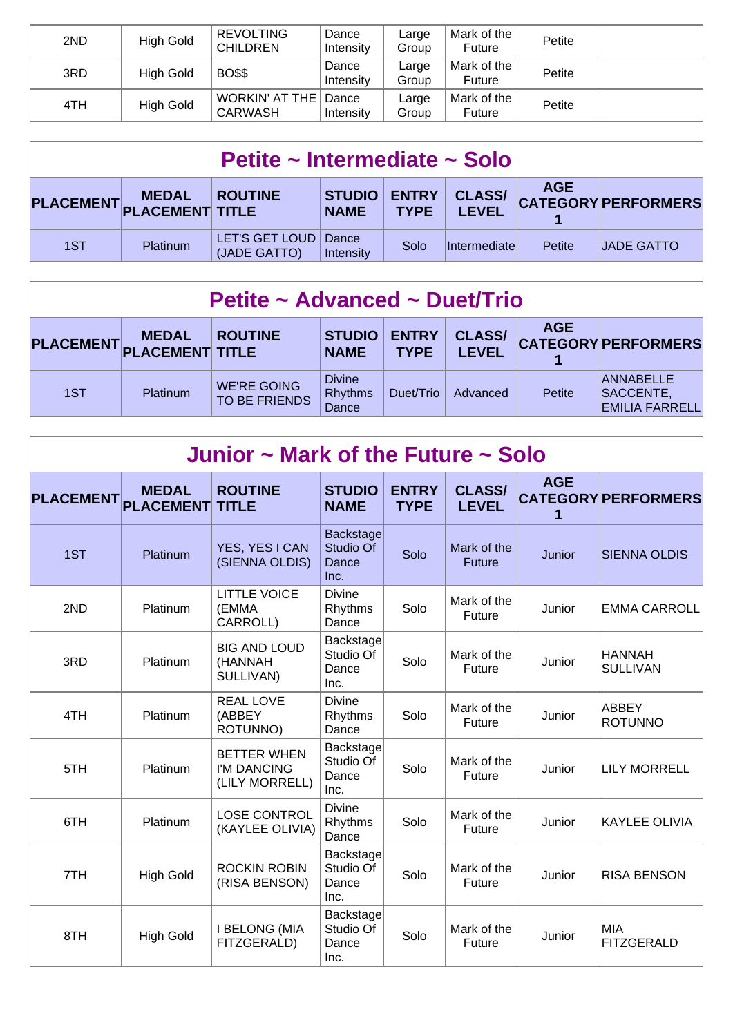| 2ND | High Gold        | <b>REVOLTING</b><br><b>CHILDREN</b>      | Dance<br>Intensity | Large<br>Group | Mark of the<br>Future | Petite |  |
|-----|------------------|------------------------------------------|--------------------|----------------|-----------------------|--------|--|
| 3RD | <b>High Gold</b> | <b>BO\$\$</b>                            | Dance<br>Intensity | Large<br>Group | Mark of the<br>Future | Petite |  |
| 4TH | <b>High Gold</b> | WORKIN' AT THE   Dance<br><b>CARWASH</b> | Intensity          | Large<br>Group | Mark of the<br>Future | Petite |  |

| Petite ~ Intermediate ~ Solo |                                           |                                |                                 |             |                        |               |                            |  |
|------------------------------|-------------------------------------------|--------------------------------|---------------------------------|-------------|------------------------|---------------|----------------------------|--|
|                              | <b>MEDAL</b><br>PLACEMENT PLACEMENT TITLE | <b>ROUTINE</b>                 | STUDIO   ENTRY  <br><b>NAME</b> | <b>TYPE</b> | <b>CLASS/</b><br>LEVEL | <b>AGE</b>    | <b>CATEGORY PERFORMERS</b> |  |
| 1ST                          | <b>Platinum</b>                           | LET'S GET LOUD<br>(JADE GATTO) | Dance<br>Intensity              | Solo        | <i>Intermediatel</i>   | <b>Petite</b> | <b>JADE GATTO</b>          |  |

| PLACEMENT PLACEMENT TITLE | <b>MEDAL</b>    | <b>ROUTINE</b>                      | <b>STUDIO</b><br><b>NAME</b>             | <b>ENTRY</b><br><b>TYPE</b> | <b>CLASS/</b><br><b>LEVEL</b> | <b>AGE</b> | <b>CATEGORY PERFORMERS</b>                             |
|---------------------------|-----------------|-------------------------------------|------------------------------------------|-----------------------------|-------------------------------|------------|--------------------------------------------------------|
| 1ST                       | <b>Platinum</b> | <b>WE'RE GOING</b><br>TO BE FRIENDS | <b>Divine</b><br><b>Rhythms</b><br>Dance | Duet/Trio                   | Advanced                      | Petite     | <b>ANNABELLE</b><br>SACCENTE,<br><b>EMILIA FARRELL</b> |

| Junior $\sim$ Mark of the Future $\sim$ Solo |                  |                                                     |                                                |                             |                               |                 |                                |  |  |  |
|----------------------------------------------|------------------|-----------------------------------------------------|------------------------------------------------|-----------------------------|-------------------------------|-----------------|--------------------------------|--|--|--|
| PLACEMENT PLACEMENT                          | <b>MEDAL</b>     | <b>ROUTINE</b><br><b>TITLE</b>                      | <b>STUDIO</b><br><b>NAME</b>                   | <b>ENTRY</b><br><b>TYPE</b> | <b>CLASS/</b><br><b>LEVEL</b> | <b>AGE</b><br>1 | <b>CATEGORY PERFORMERS</b>     |  |  |  |
| 1ST                                          | Platinum         | YES, YES I CAN<br>(SIENNA OLDIS)                    | Backstage<br>Studio Of<br>Dance<br>Inc.        | Solo                        | Mark of the<br><b>Future</b>  | Junior          | <b>SIENNA OLDIS</b>            |  |  |  |
| 2ND                                          | Platinum         | <b>LITTLE VOICE</b><br>(EMMA<br>CARROLL)            | <b>Divine</b><br>Rhythms<br>Dance              | Solo                        | Mark of the<br>Future         | Junior          | <b>EMMA CARROLL</b>            |  |  |  |
| 3RD                                          | Platinum         | <b>BIG AND LOUD</b><br>(HANNAH<br>SULLIVAN)         | Backstage<br>Studio Of<br>Dance<br>Inc.        | Solo                        | Mark of the<br>Future         | Junior          | HANNAH<br><b>SULLIVAN</b>      |  |  |  |
| 4TH                                          | Platinum         | <b>REAL LOVE</b><br>(ABBEY<br>ROTUNNO)              | <b>Divine</b><br>Rhythms<br>Dance              | Solo                        | Mark of the<br><b>Future</b>  | Junior          | <b>ABBEY</b><br><b>ROTUNNO</b> |  |  |  |
| 5TH                                          | Platinum         | <b>BETTER WHEN</b><br>I'M DANCING<br>(LILY MORRELL) | Backstage<br>Studio Of<br>Dance<br>Inc.        | Solo                        | Mark of the<br>Future         | Junior          | <b>LILY MORRELL</b>            |  |  |  |
| 6TH                                          | Platinum         | <b>LOSE CONTROL</b><br>(KAYLEE OLIVIA)              | <b>Divine</b><br>Rhythms<br>Dance              | Solo                        | Mark of the<br>Future         | Junior          | <b>KAYLEE OLIVIA</b>           |  |  |  |
| 7TH                                          | <b>High Gold</b> | <b>ROCKIN ROBIN</b><br>(RISA BENSON)                | <b>Backstage</b><br>Studio Of<br>Dance<br>Inc. | Solo                        | Mark of the<br>Future         | Junior          | <b>RISA BENSON</b>             |  |  |  |
| 8TH                                          | <b>High Gold</b> | <b>I BELONG (MIA</b><br>FITZGERALD)                 | Backstage<br>Studio Of<br>Dance<br>Inc.        | Solo                        | Mark of the<br>Future         | Junior          | <b>MIA</b><br>FITZGERALD       |  |  |  |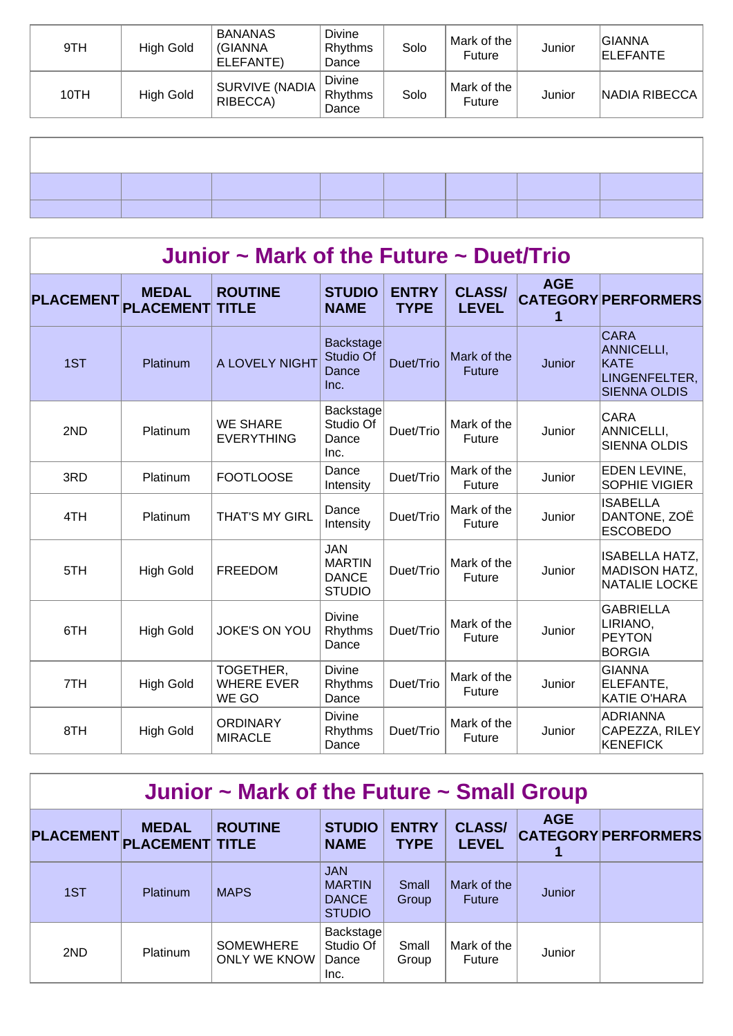| 9TH  | High Gold        | <b>BANANAS</b><br>(GIANNA<br>ELEFANTE) | Divine<br>Rhythms<br>Dance | Solo | Mark of the<br>Future | Junior | GIANNA<br>ELEFANTE |
|------|------------------|----------------------------------------|----------------------------|------|-----------------------|--------|--------------------|
| 10TH | <b>High Gold</b> | SURVIVE (NADIA<br>RIBECCA)             | Divine<br>Rhythms<br>Dance | Solo | Mark of the<br>Future | Junior | NADIA RIBECCA      |
|      |                  |                                        |                            |      |                       |        |                    |
|      |                  |                                        |                            |      |                       |        |                    |
|      |                  |                                        |                            |      |                       |        |                    |
|      |                  |                                        |                            |      |                       |        |                    |
|      |                  |                                        |                            |      |                       |        |                    |

## **Junior ~ Mark of the Future ~ Duet/Trio**

| <b>PLACEMENT</b> | <b>MEDAL</b><br><b>PLACEMENT</b> | <b>ROUTINE</b><br><b>TITLE</b>          | <b>STUDIO</b><br><b>NAME</b>                                 | <b>ENTRY</b><br><b>TYPE</b> | <b>CLASS/</b><br><b>LEVEL</b> | <b>AGE</b><br>1 | <b>CATEGORY PERFORMERS</b>                                                       |
|------------------|----------------------------------|-----------------------------------------|--------------------------------------------------------------|-----------------------------|-------------------------------|-----------------|----------------------------------------------------------------------------------|
| 1ST              | Platinum                         | A LOVELY NIGHT                          | <b>Backstage</b><br>Studio Of<br>Dance<br>Inc.               | Duet/Trio                   | Mark of the<br><b>Future</b>  | Junior          | <b>CARA</b><br>ANNICELLI,<br><b>KATE</b><br>LINGENFELTER,<br><b>SIENNA OLDIS</b> |
| 2ND              | Platinum                         | <b>WE SHARE</b><br><b>EVERYTHING</b>    | Backstage<br>Studio Of<br>Dance<br>Inc.                      | Duet/Trio                   | Mark of the<br>Future         | Junior          | <b>CARA</b><br>ANNICELLI,<br><b>SIENNA OLDIS</b>                                 |
| 3RD              | Platinum                         | <b>FOOTLOOSE</b>                        | Dance<br>Intensity                                           | Duet/Trio                   | Mark of the<br>Future         | Junior          | EDEN LEVINE,<br>SOPHIE VIGIER                                                    |
| 4TH              | Platinum                         | <b>THAT'S MY GIRL</b>                   | Dance<br>Intensity                                           | Duet/Trio                   | Mark of the<br>Future         | Junior          | <b>ISABELLA</b><br>DANTONE, ZOË<br><b>ESCOBEDO</b>                               |
| 5TH              | <b>High Gold</b>                 | <b>FREEDOM</b>                          | <b>JAN</b><br><b>MARTIN</b><br><b>DANCE</b><br><b>STUDIO</b> | Duet/Trio                   | Mark of the<br>Future         | Junior          | <b>ISABELLA HATZ,</b><br><b>MADISON HATZ,</b><br><b>NATALIE LOCKE</b>            |
| 6TH              | <b>High Gold</b>                 | <b>JOKE'S ON YOU</b>                    | <b>Divine</b><br>Rhythms<br>Dance                            | Duet/Trio                   | Mark of the<br>Future         | Junior          | <b>GABRIELLA</b><br>LIRIANO.<br><b>PEYTON</b><br><b>BORGIA</b>                   |
| 7TH              | <b>High Gold</b>                 | TOGETHER,<br><b>WHERE EVER</b><br>WE GO | Divine<br>Rhythms<br>Dance                                   | Duet/Trio                   | Mark of the<br>Future         | Junior          | <b>GIANNA</b><br>ELEFANTE,<br><b>KATIE O'HARA</b>                                |
| 8TH              | <b>High Gold</b>                 | <b>ORDINARY</b><br><b>MIRACLE</b>       | <b>Divine</b><br>Rhythms<br>Dance                            | Duet/Trio                   | Mark of the<br>Future         | Junior          | <b>ADRIANNA</b><br>CAPEZZA, RILEY<br><b>KENEFICK</b>                             |

| Junior $\sim$ Mark of the Future $\sim$ Small Group |                                        |                                         |                                                              |                             |                               |               |                            |  |  |  |
|-----------------------------------------------------|----------------------------------------|-----------------------------------------|--------------------------------------------------------------|-----------------------------|-------------------------------|---------------|----------------------------|--|--|--|
| <b>PLACEMENT</b>                                    | <b>MEDAL</b><br><b>PLACEMENT TITLE</b> | <b>ROUTINE</b>                          | <b>STUDIO</b><br><b>NAME</b>                                 | <b>ENTRY</b><br><b>TYPE</b> | <b>CLASS/</b><br><b>LEVEL</b> | <b>AGE</b>    | <b>CATEGORY PERFORMERS</b> |  |  |  |
| 1ST                                                 | Platinum                               | <b>MAPS</b>                             | <b>JAN</b><br><b>MARTIN</b><br><b>DANCE</b><br><b>STUDIO</b> | Small<br>Group              | Mark of the<br><b>Future</b>  | <b>Junior</b> |                            |  |  |  |
| 2ND                                                 | Platinum                               | <b>SOMEWHERE</b><br><b>ONLY WE KNOW</b> | Backstage<br>Studio Of<br>Dance<br>Inc.                      | Small<br>Group              | Mark of the<br>Future         | Junior        |                            |  |  |  |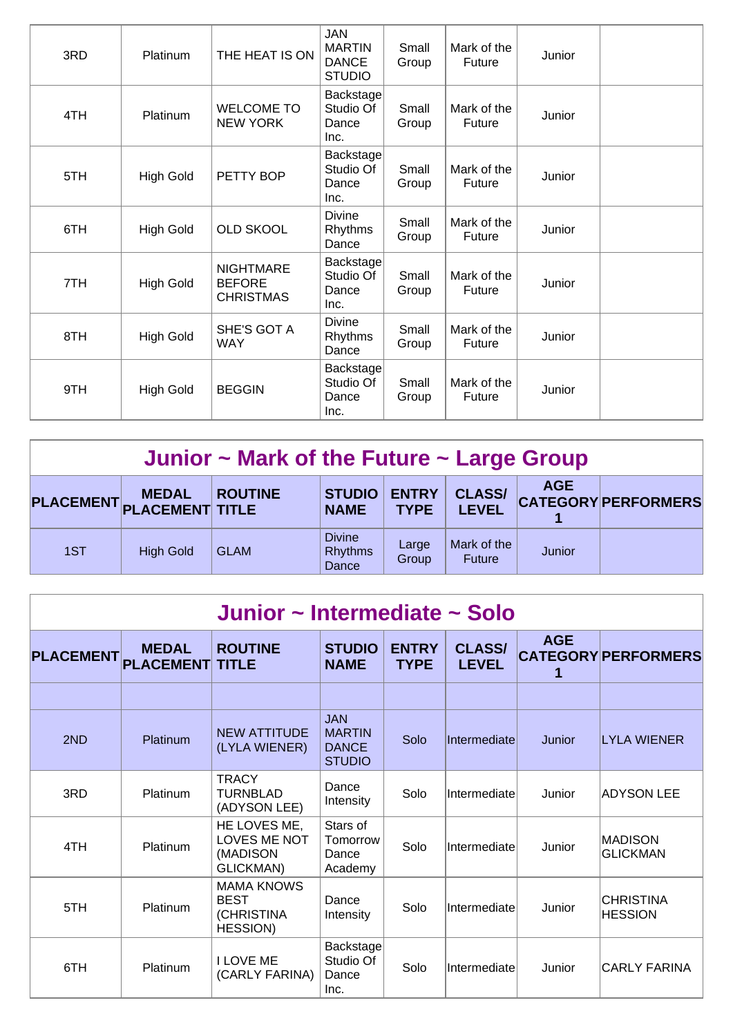| 3RD | Platinum         | THE HEAT IS ON                                        | <b>JAN</b><br><b>MARTIN</b><br><b>DANCE</b><br><b>STUDIO</b> | Small<br>Group | Mark of the<br><b>Future</b> | Junior |  |
|-----|------------------|-------------------------------------------------------|--------------------------------------------------------------|----------------|------------------------------|--------|--|
| 4TH | Platinum         | <b>WELCOME TO</b><br><b>NEW YORK</b>                  | Backstage<br>Studio Of<br>Dance<br>Inc.                      | Small<br>Group | Mark of the<br>Future        | Junior |  |
| 5TH | <b>High Gold</b> | PETTY BOP                                             | Backstage<br>Studio Of<br>Dance<br>Inc.                      | Small<br>Group | Mark of the<br>Future        | Junior |  |
| 6TH | <b>High Gold</b> | <b>OLD SKOOL</b>                                      | <b>Divine</b><br>Rhythms<br>Dance                            | Small<br>Group | Mark of the<br><b>Future</b> | Junior |  |
| 7TH | <b>High Gold</b> | <b>NIGHTMARE</b><br><b>BEFORE</b><br><b>CHRISTMAS</b> | Backstage<br>Studio Of<br>Dance<br>Inc.                      | Small<br>Group | Mark of the<br>Future        | Junior |  |
| 8TH | <b>High Gold</b> | SHE'S GOT A<br><b>WAY</b>                             | <b>Divine</b><br>Rhythms<br>Dance                            | Small<br>Group | Mark of the<br>Future        | Junior |  |
| 9TH | <b>High Gold</b> | <b>BEGGIN</b>                                         | Backstage<br>Studio Of<br>Dance<br>Inc.                      | Small<br>Group | Mark of the<br>Future        | Junior |  |

| Junior $\sim$ Mark of the Future $\sim$ Large Group |                                           |                |                                          |                             |                               |            |                            |  |  |  |
|-----------------------------------------------------|-------------------------------------------|----------------|------------------------------------------|-----------------------------|-------------------------------|------------|----------------------------|--|--|--|
|                                                     | <b>MEDAL</b><br>PLACEMENT PLACEMENT TITLE | <b>ROUTINE</b> | <b>STUDIO</b><br><b>NAME</b>             | <b>ENTRY</b><br><b>TYPE</b> | <b>CLASS/</b><br><b>LEVEL</b> | <b>AGE</b> | <b>CATEGORY PERFORMERS</b> |  |  |  |
| 1ST                                                 | <b>High Gold</b>                          | <b>GLAM</b>    | <b>Divine</b><br><b>Rhythms</b><br>Dance | Large<br>Group              | Mark of the<br><b>Future</b>  | Junior     |                            |  |  |  |

| Junior ~ Intermediate ~ Solo |                                  |                                                                   |                                                              |                             |                               |            |                                    |  |  |  |  |
|------------------------------|----------------------------------|-------------------------------------------------------------------|--------------------------------------------------------------|-----------------------------|-------------------------------|------------|------------------------------------|--|--|--|--|
| <b>PLACEMENT</b>             | <b>MEDAL</b><br><b>PLACEMENT</b> | <b>ROUTINE</b><br><b>TITLE</b>                                    | <b>STUDIO</b><br><b>NAME</b>                                 | <b>ENTRY</b><br><b>TYPE</b> | <b>CLASS/</b><br><b>LEVEL</b> | <b>AGE</b> | <b>CATEGORY PERFORMERS</b>         |  |  |  |  |
|                              |                                  |                                                                   |                                                              |                             |                               |            |                                    |  |  |  |  |
| 2ND                          | Platinum                         | <b>NEW ATTITUDE</b><br>(LYLA WIENER)                              | <b>JAN</b><br><b>MARTIN</b><br><b>DANCE</b><br><b>STUDIO</b> | Solo                        | Intermediate                  | Junior     | <b>LYLA WIENER</b>                 |  |  |  |  |
| 3RD                          | Platinum                         | <b>TRACY</b><br><b>TURNBLAD</b><br>(ADYSON LEE)                   | Dance<br>Intensity                                           | Solo                        | Intermediate                  | Junior     | <b>ADYSON LEE</b>                  |  |  |  |  |
| 4TH                          | Platinum                         | HE LOVES ME,<br>LOVES ME NOT<br>(MADISON<br><b>GLICKMAN)</b>      | Stars of<br>Tomorrow<br>Dance<br>Academy                     | Solo                        | Intermediate                  | Junior     | <b>MADISON</b><br><b>GLICKMAN</b>  |  |  |  |  |
| 5TH                          | Platinum                         | <b>MAMA KNOWS</b><br><b>BEST</b><br>(CHRISTINA<br><b>HESSION)</b> | Dance<br>Intensity                                           | Solo                        | Intermediate                  | Junior     | <b>CHRISTINA</b><br><b>HESSION</b> |  |  |  |  |
| 6TH                          | Platinum                         | <b>I LOVE ME</b><br>(CARLY FARINA)                                | Backstage<br>Studio Of<br>Dance<br>Inc.                      | Solo                        | Intermediate                  | Junior     | CARLY FARINA                       |  |  |  |  |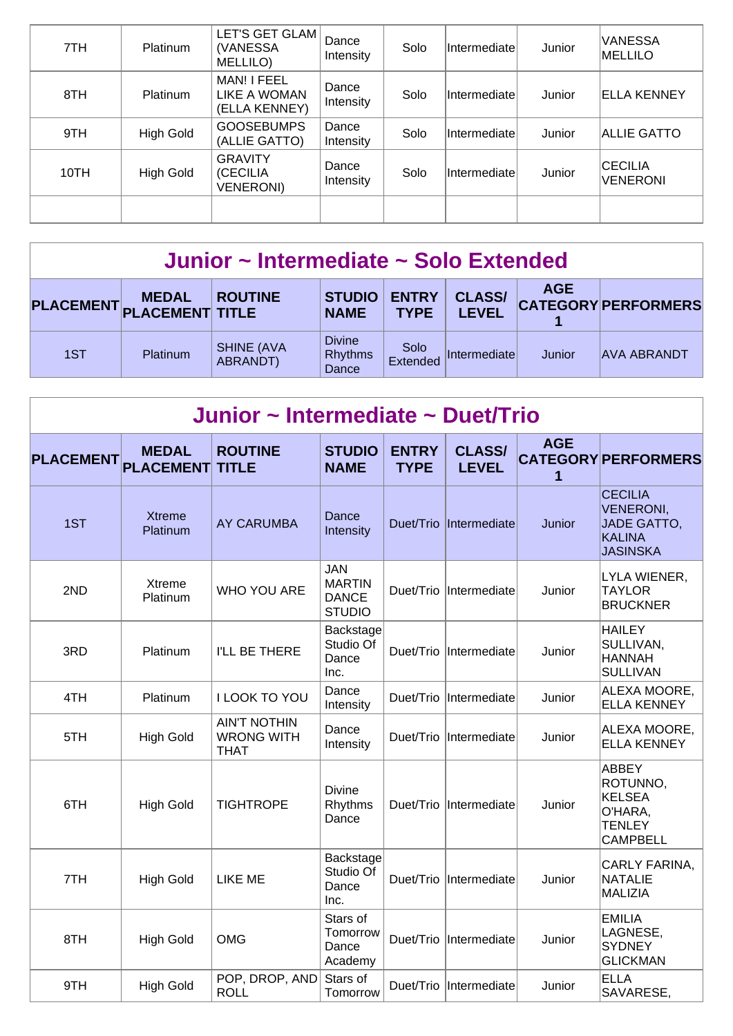| 7TH  | Platinum         | LET'S GET GLAM<br>(VANESSA<br>MELLILO)         | Dance<br>Intensity | Solo | Intermediate | Junior | <b>VANESSA</b><br>MELLILO         |
|------|------------------|------------------------------------------------|--------------------|------|--------------|--------|-----------------------------------|
| 8TH  | <b>Platinum</b>  | MAN! I FEEL<br>LIKE A WOMAN<br>(ELLA KENNEY)   | Dance<br>Intensity | Solo | Intermediate | Junior | <b>ELLA KENNEY</b>                |
| 9TH  | <b>High Gold</b> | <b>GOOSEBUMPS</b><br>(ALLIE GATTO)             | Dance<br>Intensity | Solo | Intermediate | Junior | <b>ALLIE GATTO</b>                |
| 10TH | High Gold        | <b>GRAVITY</b><br>(CECILIA<br><b>VENERONI)</b> | Dance<br>Intensity | Solo | Intermediate | Junior | <b>CECILIA</b><br><b>VENERONI</b> |
|      |                  |                                                |                    |      |              |        |                                   |

### **Junior ~ Intermediate ~ Solo Extended**

| PLACEMENT PLACEMENT TITLE | <b>MEDAL</b>    | <b>ROUTINE</b>                | <b>STUDIO</b><br><b>NAME</b>             | <b>ENTRY</b><br><b>TYPE</b> | <b>CLASS/</b><br>LEVEL | <b>AGE</b> | <b>CATEGORY PERFORMERS</b> |
|---------------------------|-----------------|-------------------------------|------------------------------------------|-----------------------------|------------------------|------------|----------------------------|
| 1ST                       | <b>Platinum</b> | <b>SHINE (AVA</b><br>ABRANDT) | <b>Divine</b><br><b>Rhythms</b><br>Dance | Solo<br>Extended            | <b>Intermediate</b>    | Junior     | <b>AVA ABRANDT</b>         |

| Junior ~ Intermediate ~ Duet/Trio |                                  |                                                         |                                                              |                             |                               |                 |                                                                                              |  |  |  |  |
|-----------------------------------|----------------------------------|---------------------------------------------------------|--------------------------------------------------------------|-----------------------------|-------------------------------|-----------------|----------------------------------------------------------------------------------------------|--|--|--|--|
| <b>PLACEMENT</b>                  | <b>MEDAL</b><br><b>PLACEMENT</b> | <b>ROUTINE</b><br><b>TITLE</b>                          | <b>STUDIO</b><br><b>NAME</b>                                 | <b>ENTRY</b><br><b>TYPE</b> | <b>CLASS/</b><br><b>LEVEL</b> | <b>AGE</b><br>1 | <b>CATEGORY PERFORMERS</b>                                                                   |  |  |  |  |
| 1ST                               | <b>Xtreme</b><br>Platinum        | <b>AY CARUMBA</b>                                       | Dance<br>Intensity                                           |                             | Duet/Trio Intermediate        | Junior          | <b>CECILIA</b><br><b>VENERONI,</b><br><b>JADE GATTO,</b><br><b>KALINA</b><br><b>JASINSKA</b> |  |  |  |  |
| 2ND                               | Xtreme<br>Platinum               | <b>WHO YOU ARE</b>                                      | <b>JAN</b><br><b>MARTIN</b><br><b>DANCE</b><br><b>STUDIO</b> | Duet/Trio                   | Intermediate                  | Junior          | LYLA WIENER,<br><b>TAYLOR</b><br><b>BRUCKNER</b>                                             |  |  |  |  |
| 3RD                               | Platinum                         | I'LL BE THERE                                           | Backstage<br>Studio Of<br>Dance<br>Inc.                      | Duet/Trio                   | Intermediate                  | Junior          | <b>HAILEY</b><br>SULLIVAN,<br><b>HANNAH</b><br><b>SULLIVAN</b>                               |  |  |  |  |
| 4TH                               | Platinum                         | I LOOK TO YOU                                           | Dance<br>Intensity                                           | Duet/Trio                   | Intermediate                  | Junior          | ALEXA MOORE,<br><b>ELLA KENNEY</b>                                                           |  |  |  |  |
| 5TH                               | <b>High Gold</b>                 | <b>AIN'T NOTHIN</b><br><b>WRONG WITH</b><br><b>THAT</b> | Dance<br>Intensity                                           | Duet/Trio                   | Intermediate                  | Junior          | ALEXA MOORE,<br><b>ELLA KENNEY</b>                                                           |  |  |  |  |
| 6TH                               | <b>High Gold</b>                 | <b>TIGHTROPE</b>                                        | <b>Divine</b><br>Rhythms<br>Dance                            | Duet/Trio                   | Intermediate                  | Junior          | ABBEY<br>ROTUNNO,<br><b>KELSEA</b><br>O'HARA,<br><b>TENLEY</b><br><b>CAMPBELL</b>            |  |  |  |  |
| 7TH                               | <b>High Gold</b>                 | <b>LIKE ME</b>                                          | Backstage<br>Studio Of<br>Dance<br>Inc.                      | Duet/Trio                   | Intermediate                  | Junior          | CARLY FARINA,<br><b>NATALIE</b><br><b>MALIZIA</b>                                            |  |  |  |  |
| 8TH                               | <b>High Gold</b>                 | <b>OMG</b>                                              | Stars of<br>Tomorrow<br>Dance<br>Academy                     | Duet/Trio                   | Intermediate                  | Junior          | <b>EMILIA</b><br>LAGNESE,<br><b>SYDNEY</b><br><b>GLICKMAN</b>                                |  |  |  |  |
| 9TH                               | <b>High Gold</b>                 | POP, DROP, AND<br><b>ROLL</b>                           | Stars of<br>Tomorrow                                         |                             | Duet/Trio Intermediate        | Junior          | <b>ELLA</b><br>SAVARESE,                                                                     |  |  |  |  |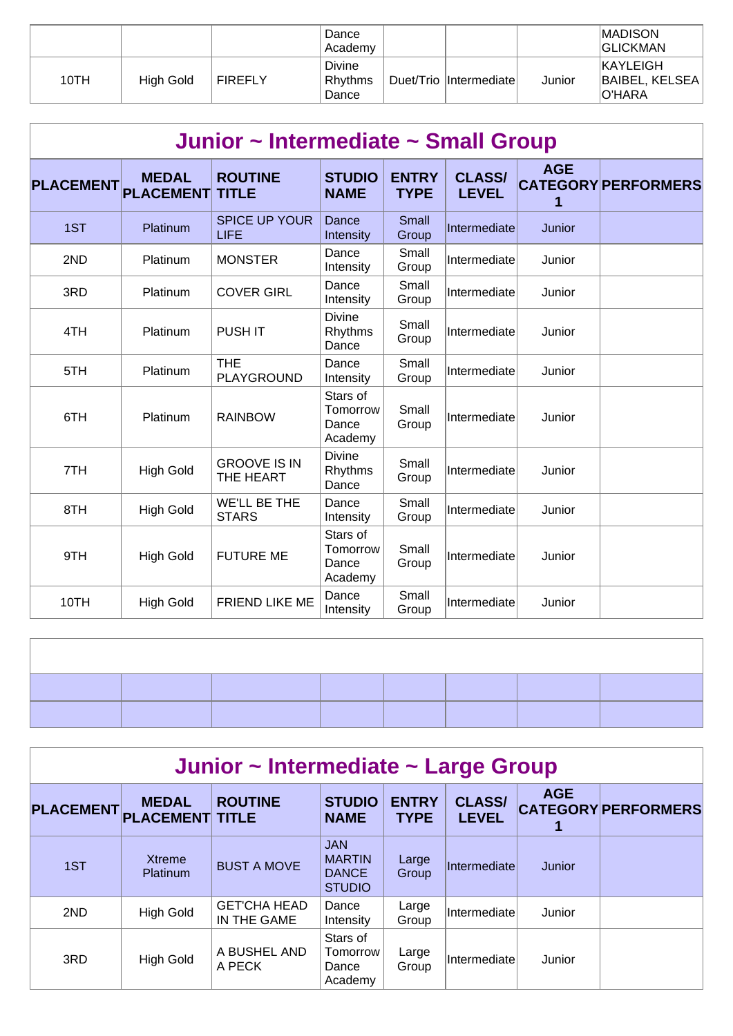|      |           |                | Dance<br>Academy           |                        |        | <b>MADISON</b><br><b>GLICKMAN</b>                  |
|------|-----------|----------------|----------------------------|------------------------|--------|----------------------------------------------------|
| 10TH | High Gold | <b>FIREFLY</b> | Divine<br>Rhythms<br>Dance | Duet/Trio Intermediate | Junior | <b>KAYLEIGH</b><br>BAIBEL, KELSEA<br><b>O'HARA</b> |

|                  | Junior ~ Intermediate ~ Small Group |                                     |                                          |                             |                               |                 |                            |  |  |  |  |  |
|------------------|-------------------------------------|-------------------------------------|------------------------------------------|-----------------------------|-------------------------------|-----------------|----------------------------|--|--|--|--|--|
| <b>PLACEMENT</b> | <b>MEDAL</b><br><b>PLACEMENT</b>    | <b>ROUTINE</b><br><b>TITLE</b>      | <b>STUDIO</b><br><b>NAME</b>             | <b>ENTRY</b><br><b>TYPE</b> | <b>CLASS/</b><br><b>LEVEL</b> | <b>AGE</b><br>1 | <b>CATEGORY PERFORMERS</b> |  |  |  |  |  |
| 1ST              | Platinum                            | <b>SPICE UP YOUR</b><br><b>LIFE</b> | Dance<br>Intensity                       | Small<br>Group              | Intermediate                  | Junior          |                            |  |  |  |  |  |
| 2ND              | Platinum                            | <b>MONSTER</b>                      | Dance<br>Intensity                       | Small<br>Group              | Intermediate                  | Junior          |                            |  |  |  |  |  |
| 3RD              | Platinum                            | <b>COVER GIRL</b>                   | Dance<br>Intensity                       | Small<br>Group              | Intermediate                  | Junior          |                            |  |  |  |  |  |
| 4TH              | Platinum                            | <b>PUSHIT</b>                       | <b>Divine</b><br>Rhythms<br>Dance        | Small<br>Group              | Intermediate                  | Junior          |                            |  |  |  |  |  |
| 5TH              | Platinum                            | <b>THE</b><br>PLAYGROUND            | Dance<br>Intensity                       | Small<br>Group              | Intermediate                  | Junior          |                            |  |  |  |  |  |
| 6TH              | Platinum                            | <b>RAINBOW</b>                      | Stars of<br>Tomorrow<br>Dance<br>Academy | Small<br>Group              | Intermediate                  | Junior          |                            |  |  |  |  |  |
| 7TH              | <b>High Gold</b>                    | <b>GROOVE IS IN</b><br>THE HEART    | <b>Divine</b><br>Rhythms<br>Dance        | Small<br>Group              | Intermediate                  | Junior          |                            |  |  |  |  |  |
| 8TH              | <b>High Gold</b>                    | <b>WE'LL BE THE</b><br><b>STARS</b> | Dance<br>Intensity                       | Small<br>Group              | Intermediate                  | Junior          |                            |  |  |  |  |  |
| 9TH              | <b>High Gold</b>                    | <b>FUTURE ME</b>                    | Stars of<br>Tomorrow<br>Dance<br>Academy | Small<br>Group              | Intermediate                  | Junior          |                            |  |  |  |  |  |
| 10TH             | <b>High Gold</b>                    | FRIEND LIKE ME                      | Dance<br>Intensity                       | Small<br>Group              | Intermediate                  | Junior          |                            |  |  |  |  |  |

| Junior ~ Intermediate ~ Large Group |                                        |                                    |                                                              |                             |                               |            |                            |  |  |  |  |
|-------------------------------------|----------------------------------------|------------------------------------|--------------------------------------------------------------|-----------------------------|-------------------------------|------------|----------------------------|--|--|--|--|
| <b>PLACEMENT</b>                    | <b>MEDAL</b><br><b>PLACEMENT TITLE</b> | <b>ROUTINE</b>                     | <b>STUDIO</b><br><b>NAME</b>                                 | <b>ENTRY</b><br><b>TYPE</b> | <b>CLASS/</b><br><b>LEVEL</b> | <b>AGE</b> | <b>CATEGORY PERFORMERS</b> |  |  |  |  |
| 1ST                                 | Xtreme<br><b>Platinum</b>              | <b>BUST A MOVE</b>                 | <b>JAN</b><br><b>MARTIN</b><br><b>DANCE</b><br><b>STUDIO</b> | Large<br>Group              | Intermediate                  | Junior     |                            |  |  |  |  |
| 2ND                                 | <b>High Gold</b>                       | <b>GET'CHA HEAD</b><br>IN THE GAME | Dance<br>Intensity                                           | Large<br>Group              | Intermediate                  | Junior     |                            |  |  |  |  |
| 3RD                                 | <b>High Gold</b>                       | A BUSHEL AND<br>A PECK             | Stars of<br>Tomorrow<br>Dance<br>Academy                     | Large<br>Group              | Intermediate                  | Junior     |                            |  |  |  |  |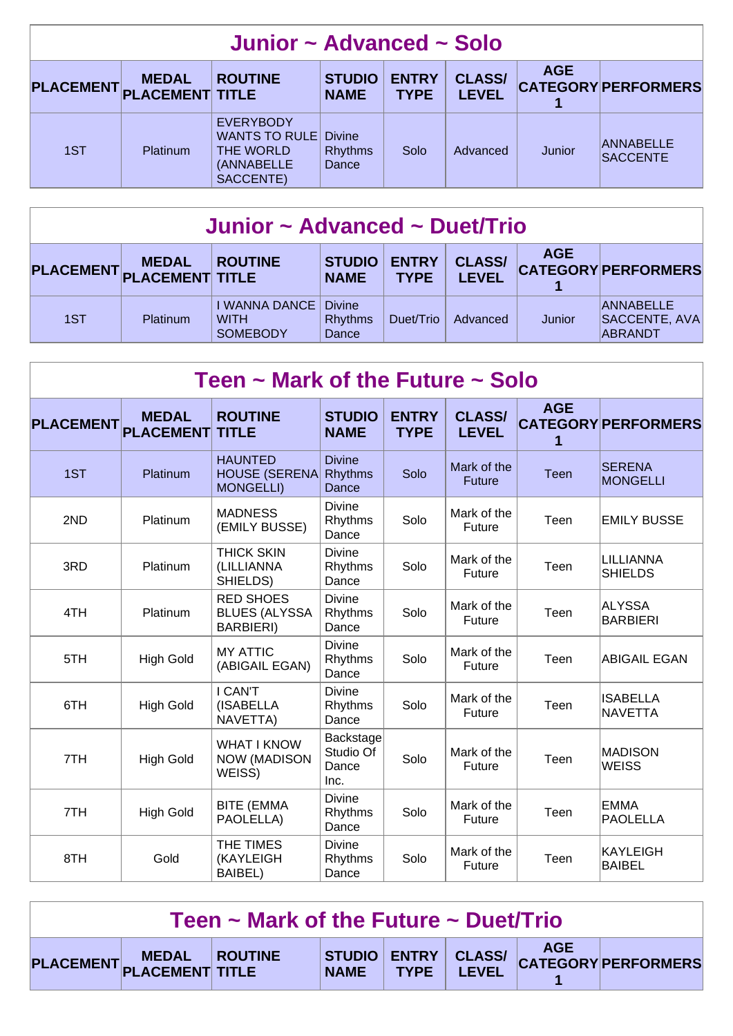| Junior ~ Advanced ~ Solo  |                 |                                                                                  |                                          |                             |                               |            |                                     |  |  |  |
|---------------------------|-----------------|----------------------------------------------------------------------------------|------------------------------------------|-----------------------------|-------------------------------|------------|-------------------------------------|--|--|--|
| PLACEMENT PLACEMENT TITLE | <b>MEDAL</b>    | <b>ROUTINE</b>                                                                   | <b>STUDIO</b><br><b>NAME</b>             | <b>ENTRY</b><br><b>TYPE</b> | <b>CLASS/</b><br><b>LEVEL</b> | <b>AGE</b> | <b>CATEGORY PERFORMERS</b>          |  |  |  |
| 1ST                       | <b>Platinum</b> | <b>EVERYBODY</b><br><b>WANTS TO RULE</b><br>THE WORLD<br>(ANNABELLE<br>SACCENTE) | <b>Divine</b><br><b>Rhythms</b><br>Dance | Solo                        | Advanced                      | Junior     | <b>ANNABELLE</b><br><b>SACCENTE</b> |  |  |  |

| Junior ~ Advanced ~ Duet/Trio |                 |                                                 |                                          |                             |                               |            |                                              |  |  |
|-------------------------------|-----------------|-------------------------------------------------|------------------------------------------|-----------------------------|-------------------------------|------------|----------------------------------------------|--|--|
| PLACEMENT PLACEMENT TITLE     | <b>MEDAL</b>    | <b>ROUTINE</b>                                  | <b>STUDIO</b><br><b>NAME</b>             | <b>ENTRY</b><br><b>TYPE</b> | <b>CLASS/</b><br><b>LEVEL</b> | <b>AGE</b> | <b>CATEGORY PERFORMERS</b>                   |  |  |
| 1ST                           | <b>Platinum</b> | I WANNA DANCE<br><b>WITH</b><br><b>SOMEBODY</b> | <b>Divine</b><br><b>Rhythms</b><br>Dance | Duet/Trio                   | Advanced                      | Junior     | <b>ANNABELLE</b><br>SACCENTE, AVA<br>ABRANDT |  |  |

| Teen $\sim$ Mark of the Future $\sim$ Solo |                                  |                                                               |                                          |                             |                               |                 |                                   |  |  |  |  |
|--------------------------------------------|----------------------------------|---------------------------------------------------------------|------------------------------------------|-----------------------------|-------------------------------|-----------------|-----------------------------------|--|--|--|--|
| <b>PLACEMENT</b>                           | <b>MEDAL</b><br><b>PLACEMENT</b> | <b>ROUTINE</b><br><b>TITLE</b>                                | <b>STUDIO</b><br><b>NAME</b>             | <b>ENTRY</b><br><b>TYPE</b> | <b>CLASS/</b><br><b>LEVEL</b> | <b>AGE</b><br>1 | <b>CATEGORY PERFORMERS</b>        |  |  |  |  |
| 1ST                                        | Platinum                         | <b>HAUNTED</b><br><b>HOUSE (SERENA</b><br><b>MONGELLI)</b>    | <b>Divine</b><br><b>Rhythms</b><br>Dance | Solo                        | Mark of the<br><b>Future</b>  | <b>Teen</b>     | <b>SERENA</b><br><b>MONGELLI</b>  |  |  |  |  |
| 2ND                                        | Platinum                         | <b>MADNESS</b><br>(EMILY BUSSE)                               | <b>Divine</b><br>Rhythms<br>Dance        | Solo                        | Mark of the<br>Future         | Teen            | <b>EMILY BUSSE</b>                |  |  |  |  |
| 3RD                                        | Platinum                         | <b>THICK SKIN</b><br>(LILLIANNA<br>SHIELDS)                   | <b>Divine</b><br>Rhythms<br>Dance        | Solo                        | Mark of the<br>Future         | Teen            | LILLIANNA<br><b>SHIELDS</b>       |  |  |  |  |
| 4TH                                        | Platinum                         | <b>RED SHOES</b><br><b>BLUES (ALYSSA</b><br><b>BARBIERI</b> ) | <b>Divine</b><br>Rhythms<br>Dance        | Solo                        | Mark of the<br>Future         | Teen            | ALYSSA<br><b>BARBIERI</b>         |  |  |  |  |
| 5TH                                        | <b>High Gold</b>                 | <b>MY ATTIC</b><br>(ABIGAIL EGAN)                             | <b>Divine</b><br>Rhythms<br>Dance        | Solo                        | Mark of the<br>Future         | Teen            | ABIGAIL EGAN                      |  |  |  |  |
| 6TH                                        | <b>High Gold</b>                 | I CAN'T<br>(ISABELLA<br>NAVETTA)                              | <b>Divine</b><br>Rhythms<br>Dance        | Solo                        | Mark of the<br>Future         | Teen            | <b>ISABELLA</b><br><b>NAVETTA</b> |  |  |  |  |
| 7TH                                        | <b>High Gold</b>                 | <b>WHAT I KNOW</b><br><b>NOW (MADISON</b><br>WEISS)           | Backstage<br>Studio Of<br>Dance<br>Inc.  | Solo                        | Mark of the<br>Future         | Teen            | <b>MADISON</b><br><b>WEISS</b>    |  |  |  |  |
| 7TH                                        | <b>High Gold</b>                 | <b>BITE (EMMA</b><br>PAOLELLA)                                | <b>Divine</b><br>Rhythms<br>Dance        | Solo                        | Mark of the<br>Future         | Teen            | EMMA<br><b>PAOLELLA</b>           |  |  |  |  |
| 8TH                                        | Gold                             | THE TIMES<br>(KAYLEIGH<br><b>BAIBEL)</b>                      | <b>Divine</b><br>Rhythms<br>Dance        | Solo                        | Mark of the<br>Future         | Teen            | <b>KAYLEIGH</b><br><b>BAIBEL</b>  |  |  |  |  |

| Teen $\sim$ Mark of the Future $\sim$ Duet/Trio |                                            |  |  |  |  |  |                                         |  |  |
|-------------------------------------------------|--------------------------------------------|--|--|--|--|--|-----------------------------------------|--|--|
|                                                 | PLACEMENT MEDAL ROUTINE<br>PLACEMENT TITLE |  |  |  |  |  | STUDIO ENTRY CLASS/ CATEGORY PERFORMERS |  |  |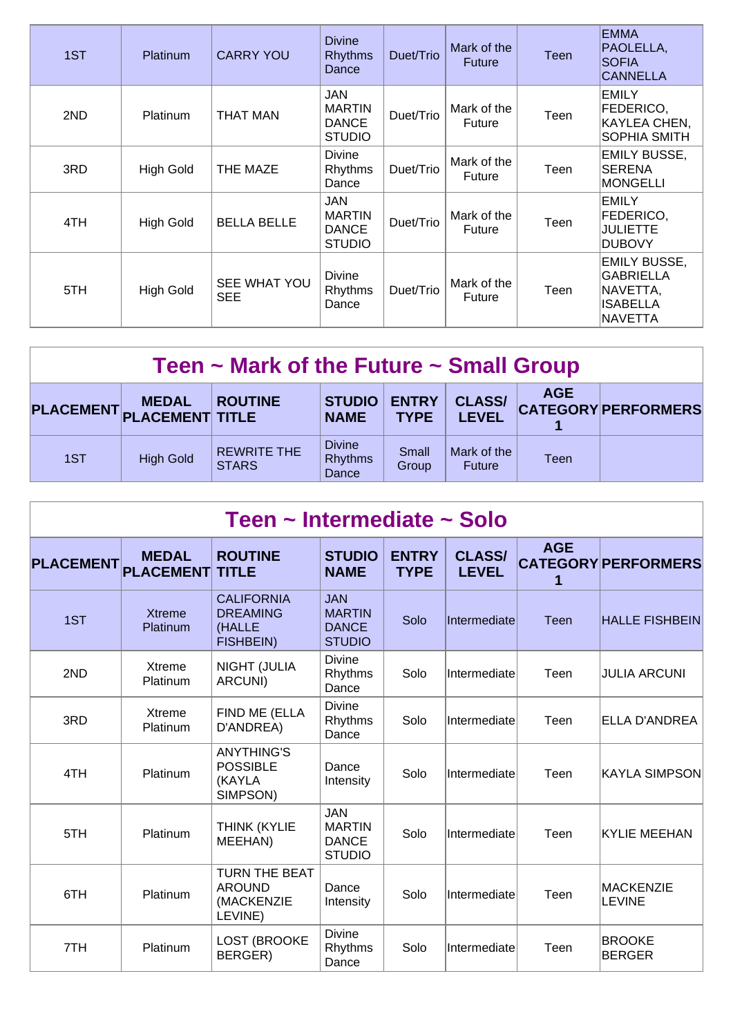| 1ST | <b>Platinum</b>  | <b>CARRY YOU</b>           | <b>Divine</b><br><b>Rhythms</b><br>Dance                     | Duet/Trio | Mark of the<br><b>Future</b> | <b>Teen</b> | <b>EMMA</b><br>PAOLELLA,<br><b>SOFIA</b><br><b>CANNELLA</b>                               |
|-----|------------------|----------------------------|--------------------------------------------------------------|-----------|------------------------------|-------------|-------------------------------------------------------------------------------------------|
| 2ND | <b>Platinum</b>  | <b>THAT MAN</b>            | <b>JAN</b><br><b>MARTIN</b><br><b>DANCE</b><br><b>STUDIO</b> | Duet/Trio | Mark of the<br>Future        | Teen        | <b>EMILY</b><br>FEDERICO,<br>KAYLEA CHEN,<br>SOPHIA SMITH                                 |
| 3RD | <b>High Gold</b> | THE MAZE                   | <b>Divine</b><br>Rhythms<br>Dance                            | Duet/Trio | Mark of the<br>Future        | Teen        | <b>EMILY BUSSE,</b><br><b>SERENA</b><br>MONGELLI                                          |
| 4TH | <b>High Gold</b> | <b>BELLA BELLE</b>         | JAN<br><b>MARTIN</b><br><b>DANCE</b><br><b>STUDIO</b>        | Duet/Trio | Mark of the<br>Future        | Teen        | <b>EMILY</b><br>FEDERICO,<br>JULIETTE<br><b>DUBOVY</b>                                    |
| 5TH | <b>High Gold</b> | SEE WHAT YOU<br><b>SEE</b> | <b>Divine</b><br>Rhythms<br>Dance                            | Duet/Trio | Mark of the<br>Future        | Teen        | <b>EMILY BUSSE,</b><br><b>GABRIELLA</b><br> NAVETTA,<br><b>ISABELLA</b><br><b>NAVETTA</b> |

|     | <b>MEDAL</b><br>PLACEMENT PLACEMENT TITLE | <b>ROUTINE</b>                     | <b>STUDIO</b><br><b>NAME</b>             | <b>ENTRY</b><br><b>TYPE</b> | <b>CLASS/</b><br><b>LEVEL</b> | <b>AGE</b> | <b>CATEGORY PERFORMERS</b> |
|-----|-------------------------------------------|------------------------------------|------------------------------------------|-----------------------------|-------------------------------|------------|----------------------------|
| 1ST | <b>High Gold</b>                          | <b>REWRITE THE</b><br><b>STARS</b> | <b>Divine</b><br><b>Rhythms</b><br>Dance | Small<br>Group              | Mark of the<br><b>Future</b>  | Teen       |                            |

| Teen ~ Intermediate ~ Solo |                                  |                                                                    |                                                              |                             |                               |                 |                                |  |  |  |
|----------------------------|----------------------------------|--------------------------------------------------------------------|--------------------------------------------------------------|-----------------------------|-------------------------------|-----------------|--------------------------------|--|--|--|
| <b>PLACEMENT</b>           | <b>MEDAL</b><br><b>PLACEMENT</b> | <b>ROUTINE</b><br><b>TITLE</b>                                     | <b>STUDIO</b><br><b>NAME</b>                                 | <b>ENTRY</b><br><b>TYPE</b> | <b>CLASS/</b><br><b>LEVEL</b> | <b>AGE</b><br>1 | <b>CATEGORY PERFORMERS</b>     |  |  |  |
| 1ST                        | <b>Xtreme</b><br>Platinum        | <b>CALIFORNIA</b><br><b>DREAMING</b><br>(HALLE<br><b>FISHBEIN)</b> | <b>JAN</b><br><b>MARTIN</b><br><b>DANCE</b><br><b>STUDIO</b> | Solo                        | Intermediate                  | Teen            | <b>HALLE FISHBEIN</b>          |  |  |  |
| 2ND                        | Xtreme<br><b>Platinum</b>        | NIGHT (JULIA<br>ARCUNI)                                            | <b>Divine</b><br>Rhythms<br>Dance                            | Solo                        | Intermediate                  | Teen            | <b>JULIA ARCUNI</b>            |  |  |  |
| 3RD                        | Xtreme<br><b>Platinum</b>        | FIND ME (ELLA<br>D'ANDREA)                                         | <b>Divine</b><br>Rhythms<br>Dance                            | Solo                        | Intermediate                  | Teen            | ELLA D'ANDREA                  |  |  |  |
| 4TH                        | Platinum                         | <b>ANYTHING'S</b><br><b>POSSIBLE</b><br>(KAYLA<br>SIMPSON)         | Dance<br>Intensity                                           | Solo                        | Intermediate                  | Teen            | <b>KAYLA SIMPSON</b>           |  |  |  |
| 5TH                        | Platinum                         | THINK (KYLIE<br>MEEHAN)                                            | <b>JAN</b><br><b>MARTIN</b><br><b>DANCE</b><br><b>STUDIO</b> | Solo                        | Intermediate                  | Teen            | <b>KYLIE MEEHAN</b>            |  |  |  |
| 6TH                        | Platinum                         | <b>TURN THE BEAT</b><br><b>AROUND</b><br>(MACKENZIE<br>LEVINE)     | Dance<br>Intensity                                           | Solo                        | Intermediate                  | Teen            | <b>MACKENZIE</b><br>LEVINE     |  |  |  |
| 7TH                        | Platinum                         | LOST (BROOKE<br>BERGER)                                            | Divine<br>Rhythms<br>Dance                                   | Solo                        | Intermediate                  | Teen            | <b>BROOKE</b><br><b>BERGER</b> |  |  |  |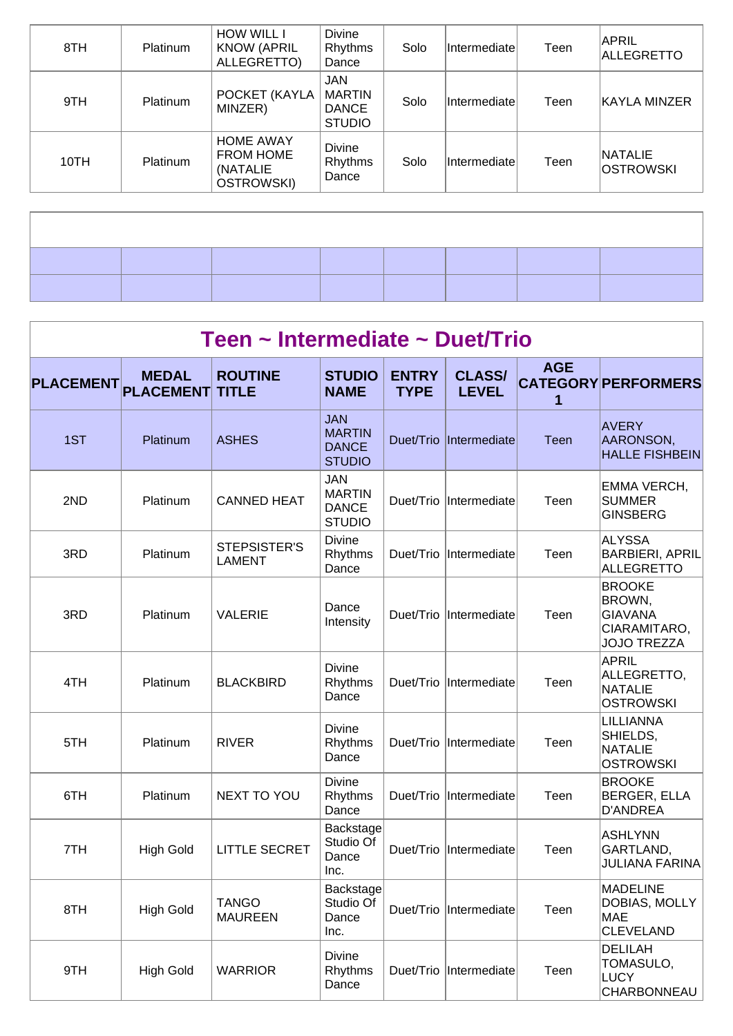| 8TH  | <b>Platinum</b> | <b>HOW WILL I</b><br><b>KNOW (APRIL</b><br>ALLEGRETTO)         | <b>Divine</b><br>Rhythms<br>Dance                            | Solo | <b>Intermediatel</b> | Teen | APRIL<br>ALLEGRETTO                |
|------|-----------------|----------------------------------------------------------------|--------------------------------------------------------------|------|----------------------|------|------------------------------------|
| 9TH  | <b>Platinum</b> | POCKET (KAYLA<br>MINZER)                                       | <b>JAN</b><br><b>MARTIN</b><br><b>DANCE</b><br><b>STUDIO</b> | Solo | Intermediate         | Teen | KAYLA MINZER                       |
| 10TH | Platinum        | <b>HOME AWAY</b><br><b>FROM HOME</b><br>(NATALIE<br>OSTROWSKI) | <b>Divine</b><br>Rhythms<br>Dance                            | Solo | Intermediate         | Teen | <b>NATALIE</b><br><b>OSTROWSKI</b> |

 $\overline{\phantom{a}}$ 

|                  | Teen ~ Intermediate ~ Duet/Trio  |                                |                                                              |                             |                               |                 |                                                                                 |  |  |  |  |
|------------------|----------------------------------|--------------------------------|--------------------------------------------------------------|-----------------------------|-------------------------------|-----------------|---------------------------------------------------------------------------------|--|--|--|--|
| <b>PLACEMENT</b> | <b>MEDAL</b><br><b>PLACEMENT</b> | <b>ROUTINE</b><br><b>TITLE</b> | <b>STUDIO</b><br><b>NAME</b>                                 | <b>ENTRY</b><br><b>TYPE</b> | <b>CLASS/</b><br><b>LEVEL</b> | <b>AGE</b><br>1 | <b>CATEGORY PERFORMERS</b>                                                      |  |  |  |  |
| 1ST              | Platinum                         | <b>ASHES</b>                   | <b>JAN</b><br><b>MARTIN</b><br><b>DANCE</b><br><b>STUDIO</b> | Duet/Trio                   | Intermediate                  | Teen            | AVERY<br>AARONSON,<br><b>HALLE FISHBEIN</b>                                     |  |  |  |  |
| 2ND              | Platinum                         | <b>CANNED HEAT</b>             | <b>JAN</b><br><b>MARTIN</b><br><b>DANCE</b><br><b>STUDIO</b> |                             | Duet/Trio  Intermediate       | Teen            | EMMA VERCH,<br><b>SUMMER</b><br><b>GINSBERG</b>                                 |  |  |  |  |
| 3RD              | Platinum                         | STEPSISTER'S<br><b>LAMENT</b>  | <b>Divine</b><br>Rhythms<br>Dance                            | Duet/Trio                   | Intermediate                  | Teen            | ALYSSA<br><b>BARBIERI, APRIL</b><br><b>ALLEGRETTO</b>                           |  |  |  |  |
| 3RD              | Platinum                         | <b>VALERIE</b>                 | Dance<br>Intensity                                           | Duet/Trio                   | Intermediate                  | Teen            | <b>BROOKE</b><br>BROWN,<br><b>GIAVANA</b><br>CIARAMITARO,<br><b>JOJO TREZZA</b> |  |  |  |  |
| 4TH              | Platinum                         | <b>BLACKBIRD</b>               | <b>Divine</b><br>Rhythms<br>Dance                            |                             | Duet/Trio Intermediate        | Teen            | APRIL<br>ALLEGRETTO,<br><b>NATALIE</b><br><b>OSTROWSKI</b>                      |  |  |  |  |
| 5TH              | Platinum                         | <b>RIVER</b>                   | <b>Divine</b><br>Rhythms<br>Dance                            |                             | Duet/Trio  Intermediate       | Teen            | LILLIANNA<br>SHIELDS,<br><b>NATALIE</b><br><b>OSTROWSKI</b>                     |  |  |  |  |
| 6TH              | Platinum                         | NEXT TO YOU                    | <b>Divine</b><br>Rhythms<br>Dance                            | Duet/Trio                   | Intermediate                  | Teen            | <b>BROOKE</b><br><b>BERGER, ELLA</b><br><b>D'ANDREA</b>                         |  |  |  |  |
| 7TH              | <b>High Gold</b>                 | <b>LITTLE SECRET</b>           | Backstage<br>Studio Of<br>Dance<br>Inc.                      |                             | Duet/Trio Intermediate        | Teen            | <b>ASHLYNN</b><br>GARTLAND,<br><b>JULIANA FARINA</b>                            |  |  |  |  |
| 8TH              | <b>High Gold</b>                 | <b>TANGO</b><br><b>MAUREEN</b> | Backstage<br>Studio Of<br>Dance<br>Inc.                      |                             | Duet/Trio  Intermediate       | Teen            | <b>MADELINE</b><br>DOBIAS, MOLLY<br><b>MAE</b><br><b>CLEVELAND</b>              |  |  |  |  |
| 9TH              | <b>High Gold</b>                 | <b>WARRIOR</b>                 | <b>Divine</b><br>Rhythms<br>Dance                            |                             | Duet/Trio  Intermediate       | Teen            | <b>DELILAH</b><br>TOMASULO,<br><b>LUCY</b><br>CHARBONNEAU                       |  |  |  |  |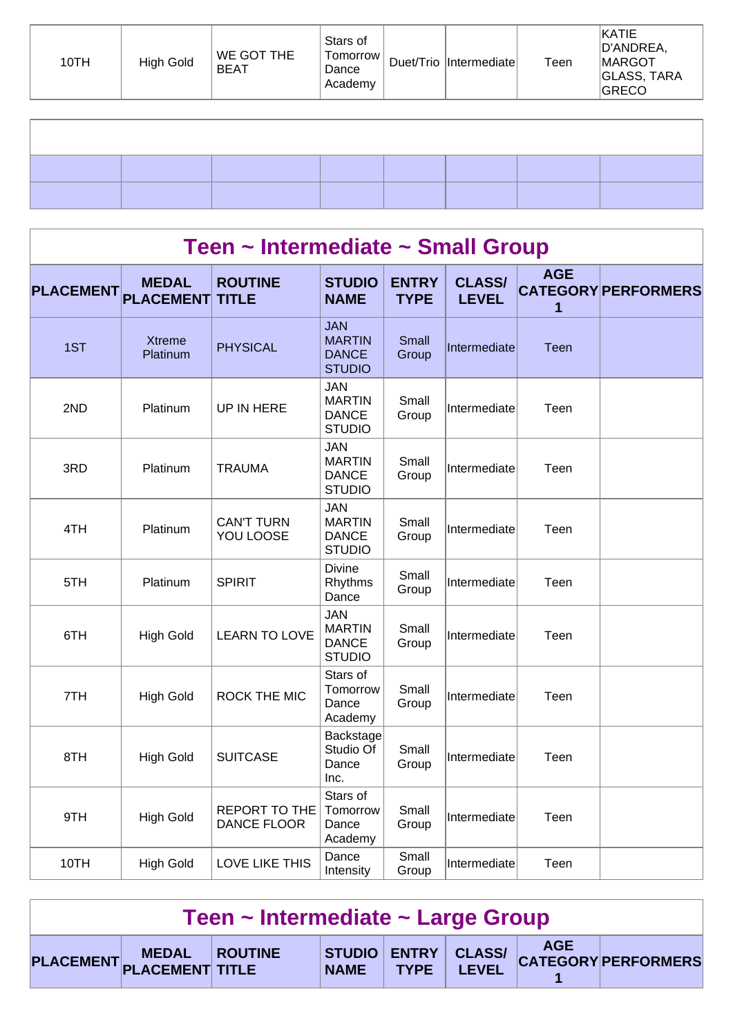| 10TH | High Gold | WE GOT THE<br><b>BEAT</b> | Stars of<br>Tomorrow<br>Dance<br>Academy | Duet/Trio  Intermediate | Teen | KATIE<br>D'ANDREA,<br>MARGOT<br><b>GLASS, TARA</b><br>GRECO |
|------|-----------|---------------------------|------------------------------------------|-------------------------|------|-------------------------------------------------------------|
|      |           |                           |                                          |                         |      |                                                             |
|      |           |                           |                                          |                         |      |                                                             |

|                  | Teen ~ Intermediate ~ Small Group |                                     |                                                              |                             |                               |                 |                            |  |  |  |  |  |
|------------------|-----------------------------------|-------------------------------------|--------------------------------------------------------------|-----------------------------|-------------------------------|-----------------|----------------------------|--|--|--|--|--|
| <b>PLACEMENT</b> | <b>MEDAL</b><br><b>PLACEMENT</b>  | <b>ROUTINE</b><br><b>TITLE</b>      | <b>STUDIO</b><br><b>NAME</b>                                 | <b>ENTRY</b><br><b>TYPE</b> | <b>CLASS/</b><br><b>LEVEL</b> | <b>AGE</b><br>1 | <b>CATEGORY PERFORMERS</b> |  |  |  |  |  |
| 1ST              | <b>Xtreme</b><br>Platinum         | <b>PHYSICAL</b>                     | <b>JAN</b><br><b>MARTIN</b><br><b>DANCE</b><br><b>STUDIO</b> | Small<br>Group              | Intermediate                  | Teen            |                            |  |  |  |  |  |
| 2ND              | Platinum                          | UP IN HERE                          | <b>JAN</b><br><b>MARTIN</b><br><b>DANCE</b><br><b>STUDIO</b> | Small<br>Group              | Intermediate                  | Teen            |                            |  |  |  |  |  |
| 3RD              | Platinum                          | <b>TRAUMA</b>                       | <b>JAN</b><br><b>MARTIN</b><br><b>DANCE</b><br><b>STUDIO</b> | Small<br>Group              | Intermediate                  | Teen            |                            |  |  |  |  |  |
| 4TH              | Platinum                          | <b>CAN'T TURN</b><br>YOU LOOSE      | <b>JAN</b><br><b>MARTIN</b><br><b>DANCE</b><br><b>STUDIO</b> | Small<br>Group              | Intermediate                  | Teen            |                            |  |  |  |  |  |
| 5TH              | Platinum                          | <b>SPIRIT</b>                       | <b>Divine</b><br>Rhythms<br>Dance                            | Small<br>Group              | Intermediate                  | Teen            |                            |  |  |  |  |  |
| 6TH              | <b>High Gold</b>                  | <b>LEARN TO LOVE</b>                | <b>JAN</b><br><b>MARTIN</b><br><b>DANCE</b><br><b>STUDIO</b> | Small<br>Group              | Intermediate                  | Teen            |                            |  |  |  |  |  |
| 7TH              | <b>High Gold</b>                  | <b>ROCK THE MIC</b>                 | Stars of<br>Tomorrow<br>Dance<br>Academy                     | Small<br>Group              | Intermediate                  | Teen            |                            |  |  |  |  |  |
| 8TH              | <b>High Gold</b>                  | <b>SUITCASE</b>                     | Backstage<br>Studio Of<br>Dance<br>Inc.                      | Small<br>Group              | Intermediate                  | Teen            |                            |  |  |  |  |  |
| 9TH              | <b>High Gold</b>                  | <b>REPORT TO THE</b><br>DANCE FLOOR | Stars of<br>Tomorrow<br>Dance<br>Academy                     | Small<br>Group              | Intermediate                  | Teen            |                            |  |  |  |  |  |
| 10TH             | <b>High Gold</b>                  | <b>LOVE LIKE THIS</b>               | Dance<br>Intensity                                           | Small<br>Group              | Intermediate                  | Teen            |                            |  |  |  |  |  |

| Teen ~ Intermediate ~ Large Group |  |  |
|-----------------------------------|--|--|
|-----------------------------------|--|--|

|  | <b>MEDAL</b> | <b>ROUTINE</b><br><b>CLACEMENT PLACEMENT TITLE</b> | <b>NAME</b> | <b>TYPF</b> | LEVEL | <b>AGE</b> | STUDIO ENTRY CLASS/ CATEGORY PERFORMERS |
|--|--------------|----------------------------------------------------|-------------|-------------|-------|------------|-----------------------------------------|
|--|--------------|----------------------------------------------------|-------------|-------------|-------|------------|-----------------------------------------|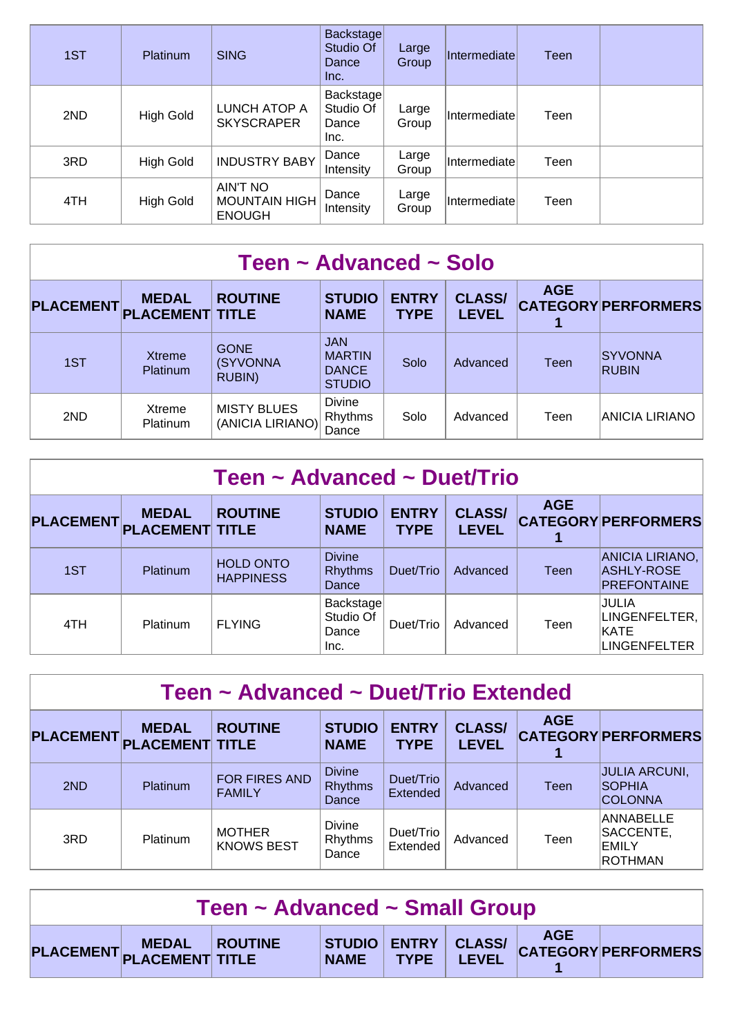| 1ST | <b>Platinum</b>  | <b>SING</b>                                       | Backstage<br>Studio Of<br>Dance<br>Inc. | Large<br>Group | Intermediatel | Teen |  |
|-----|------------------|---------------------------------------------------|-----------------------------------------|----------------|---------------|------|--|
| 2ND | <b>High Gold</b> | LUNCH ATOP A<br><b>SKYSCRAPER</b>                 | Backstage<br>Studio Of<br>Dance<br>Inc. | Large<br>Group | Intermediate  | Teen |  |
| 3RD | <b>High Gold</b> | <b>INDUSTRY BABY</b>                              | Dance<br>Intensity                      | Large<br>Group | Intermediate  | Teen |  |
| 4TH | High Gold        | AIN'T NO<br><b>MOUNTAIN HIGH</b><br><b>ENOUGH</b> | Dance<br>Intensity                      | Large<br>Group | Intermediate  | Teen |  |

| Teen ~ Advanced ~ Solo |                                        |                                        |                                                              |                             |                               |            |                                |  |  |
|------------------------|----------------------------------------|----------------------------------------|--------------------------------------------------------------|-----------------------------|-------------------------------|------------|--------------------------------|--|--|
| <b>PLACEMENT</b>       | <b>MEDAL</b><br><b>PLACEMENT TITLE</b> | <b>ROUTINE</b>                         | <b>STUDIO</b><br><b>NAME</b>                                 | <b>ENTRY</b><br><b>TYPE</b> | <b>CLASS/</b><br><b>LEVEL</b> | <b>AGE</b> | <b>CATEGORY PERFORMERS</b>     |  |  |
| 1ST                    | <b>Xtreme</b><br>Platinum              | <b>GONE</b><br>(SYVONNA<br>RUBIN)      | <b>JAN</b><br><b>MARTIN</b><br><b>DANCE</b><br><b>STUDIO</b> | Solo                        | Advanced                      | Teen       | <b>SYVONNA</b><br><b>RUBIN</b> |  |  |
| 2ND                    | Xtreme<br>Platinum                     | <b>MISTY BLUES</b><br>(ANICIA LIRIANO) | Divine<br>Rhythms<br>Dance                                   | Solo                        | Advanced                      | Teen       | ANICIA LIRIANO                 |  |  |

| Teen ~ Advanced ~ Duet/Trio |                                        |                                      |                                          |                             |                               |            |                                                                      |  |  |
|-----------------------------|----------------------------------------|--------------------------------------|------------------------------------------|-----------------------------|-------------------------------|------------|----------------------------------------------------------------------|--|--|
| <b>PLACEMENT</b>            | <b>MEDAL</b><br><b>PLACEMENT TITLE</b> | <b>ROUTINE</b>                       | <b>STUDIO</b><br><b>NAME</b>             | <b>ENTRY</b><br><b>TYPE</b> | <b>CLASS/</b><br><b>LEVEL</b> | <b>AGE</b> | <b>CATEGORY PERFORMERS</b>                                           |  |  |
| 1ST                         | Platinum                               | <b>HOLD ONTO</b><br><b>HAPPINESS</b> | <b>Divine</b><br><b>Rhythms</b><br>Dance | Duet/Trio                   | Advanced                      | Teen       | ANICIA LIRIANO,<br>ASHLY-ROSE<br>PREFONTAINE                         |  |  |
| 4TH                         | Platinum                               | <b>FLYING</b>                        | Backstage<br>Studio Of<br>Dance<br>Inc.  | Duet/Trio                   | Advanced                      | Teen       | <b>JULIA</b><br>LINGENFELTER,<br><b>IKATE</b><br><b>LINGENFELTER</b> |  |  |

| Teen ~ Advanced ~ Duet/Trio Extended |                                        |                                    |                                          |                              |                               |            |                                                          |  |  |
|--------------------------------------|----------------------------------------|------------------------------------|------------------------------------------|------------------------------|-------------------------------|------------|----------------------------------------------------------|--|--|
| <b>PLACEMENT</b>                     | <b>MEDAL</b><br><b>PLACEMENT TITLE</b> | <b>ROUTINE</b>                     | <b>STUDIO</b><br><b>NAME</b>             | <b>ENTRY</b><br><b>TYPE</b>  | <b>CLASS/</b><br><b>LEVEL</b> | <b>AGE</b> | <b>CATEGORY PERFORMERS</b>                               |  |  |
| 2ND                                  | Platinum                               | FOR FIRES AND<br><b>FAMILY</b>     | <b>Divine</b><br><b>Rhythms</b><br>Dance | Duet/Trio<br><b>Extended</b> | Advanced                      | Teen       | <b>JULIA ARCUNI,</b><br><b>SOPHIA</b><br><b>COLONNA</b>  |  |  |
| 3RD                                  | Platinum                               | <b>MOTHER</b><br><b>KNOWS BEST</b> | <b>Divine</b><br>Rhythms<br>Dance        | Duet/Trio<br>Extended        | Advanced                      | Teen       | ANNABELLE<br>SACCENTE,<br><b>EMILY</b><br><b>ROTHMAN</b> |  |  |

| Teen ~ Advanced ~ Small Group |                         |  |  |  |  |  |                                                                |  |
|-------------------------------|-------------------------|--|--|--|--|--|----------------------------------------------------------------|--|
|                               | PLACEMENT MEDAL ROUTINE |  |  |  |  |  | STUDIO ENTRY CLASS/ AGE<br>NAME TYPE LEVEL CATEGORY PERFORMERS |  |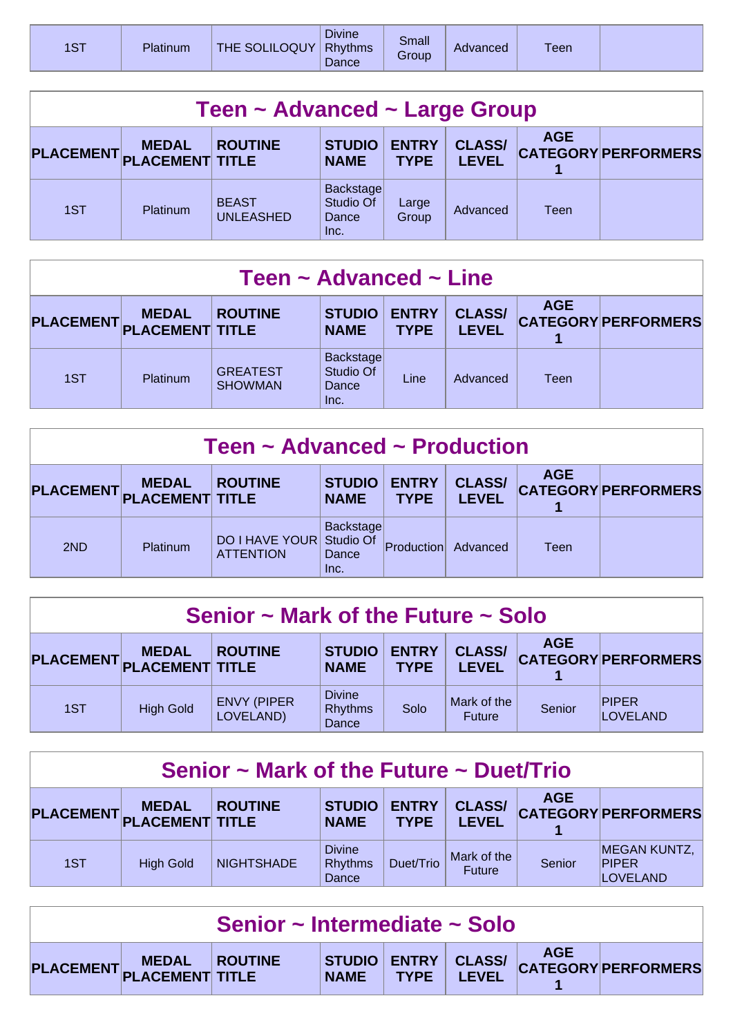| <b>Divine</b><br>Small<br><b>ST</b><br>THE SOLILOQUY<br><b>Rhythms</b><br>Platinum<br>Teen<br>Advanced<br><b>Group</b><br>Dance |  |
|---------------------------------------------------------------------------------------------------------------------------------|--|
|---------------------------------------------------------------------------------------------------------------------------------|--|

| Teen ~ Advanced ~ Large Group |                                        |                                  |                                                |                             |                               |            |                            |  |
|-------------------------------|----------------------------------------|----------------------------------|------------------------------------------------|-----------------------------|-------------------------------|------------|----------------------------|--|
| <b>PLACEMENT</b>              | <b>MEDAL</b><br><b>PLACEMENT TITLE</b> | <b>ROUTINE</b>                   | <b>STUDIO</b><br><b>NAME</b>                   | <b>ENTRY</b><br><b>TYPE</b> | <b>CLASS/</b><br><b>LEVEL</b> | <b>AGE</b> | <b>CATEGORY PERFORMERS</b> |  |
| 1ST                           | <b>Platinum</b>                        | <b>BEAST</b><br><b>UNLEASHED</b> | <b>Backstage</b><br>Studio Of<br>Dance<br>Inc. | Large<br>Group              | Advanced                      | Teen       |                            |  |

| Teen $\sim$ Advanced $\sim$ Line |                                        |                                   |                                         |                             |                               |            |                            |  |
|----------------------------------|----------------------------------------|-----------------------------------|-----------------------------------------|-----------------------------|-------------------------------|------------|----------------------------|--|
| <b>PLACEMENT</b>                 | <b>MEDAL</b><br><b>PLACEMENT TITLE</b> | <b>ROUTINE</b>                    | <b>STUDIO</b><br><b>NAME</b>            | <b>ENTRY</b><br><b>TYPE</b> | <b>CLASS/</b><br><b>LEVEL</b> | <b>AGE</b> | <b>CATEGORY PERFORMERS</b> |  |
| 1ST                              | Platinum                               | <b>GREATEST</b><br><b>SHOWMAN</b> | Backstage<br>Studio Of<br>Dance<br>Inc. | Line                        | Advanced                      | Teen       |                            |  |

| Teen $\sim$ Advanced $\sim$ Production |                                        |                                           |                                         |                             |                               |            |                            |  |
|----------------------------------------|----------------------------------------|-------------------------------------------|-----------------------------------------|-----------------------------|-------------------------------|------------|----------------------------|--|
| <b>PLACEMENT</b>                       | <b>MEDAL</b><br><b>PLACEMENT TITLE</b> | <b>ROUTINE</b>                            | <b>STUDIO</b><br><b>NAME</b>            | <b>ENTRY</b><br><b>TYPE</b> | <b>CLASS/</b><br><b>LEVEL</b> | <b>AGE</b> | <b>CATEGORY PERFORMERS</b> |  |
| 2ND                                    | Platinum                               | <b>DO I HAVE YOUR</b><br><b>ATTENTION</b> | Backstage<br>Studio Of<br>Dance<br>Inc. | Production                  | Advanced                      | Teen       |                            |  |

| Senior $\sim$ Mark of the Future $\sim$ Solo |                  |                                 |                                          |                             |                               |            |                            |  |
|----------------------------------------------|------------------|---------------------------------|------------------------------------------|-----------------------------|-------------------------------|------------|----------------------------|--|
| PLACEMENT PLACEMENT TITLE                    | <b>MEDAL</b>     | <b>ROUTINE</b>                  | <b>STUDIO</b><br><b>NAME</b>             | <b>ENTRY</b><br><b>TYPE</b> | <b>CLASS/</b><br><b>LEVEL</b> | <b>AGE</b> | <b>CATEGORY PERFORMERS</b> |  |
| 1ST                                          | <b>High Gold</b> | <b>ENVY (PIPER</b><br>LOVELAND) | <b>Divine</b><br><b>Rhythms</b><br>Dance | Solo                        | Mark of the<br><b>Future</b>  | Senior     | <b>PIPER</b><br>LOVELAND   |  |

| Senior $\sim$ Mark of the Future $\sim$ Duet/Trio |                                           |                   |                                          |                             |                               |            |                                                        |  |  |  |
|---------------------------------------------------|-------------------------------------------|-------------------|------------------------------------------|-----------------------------|-------------------------------|------------|--------------------------------------------------------|--|--|--|
|                                                   | <b>MEDAL</b><br>PLACEMENT PLACEMENT TITLE | <b>ROUTINE</b>    | <b>STUDIO</b><br><b>NAME</b>             | <b>ENTRY</b><br><b>TYPE</b> | <b>CLASS/</b><br><b>LEVEL</b> | <b>AGE</b> | <b>CATEGORY PERFORMERS</b>                             |  |  |  |
| 1ST                                               | <b>High Gold</b>                          | <b>NIGHTSHADE</b> | <b>Divine</b><br><b>Rhythms</b><br>Dance | Duet/Trio                   | Mark of the<br><b>Future</b>  | Senior     | <b>MEGAN KUNTZ,</b><br><b>PIPER</b><br><b>LOVELAND</b> |  |  |  |

| Senior ~ Intermediate ~ Solo |                         |  |  |  |  |  |                                                                  |  |
|------------------------------|-------------------------|--|--|--|--|--|------------------------------------------------------------------|--|
|                              | PLACEMENT MEDAL ROUTINE |  |  |  |  |  | STUDIO ENTRY CLASS/ AGE AGE VALUE TYPE LEVEL CATEGORY PERFORMERS |  |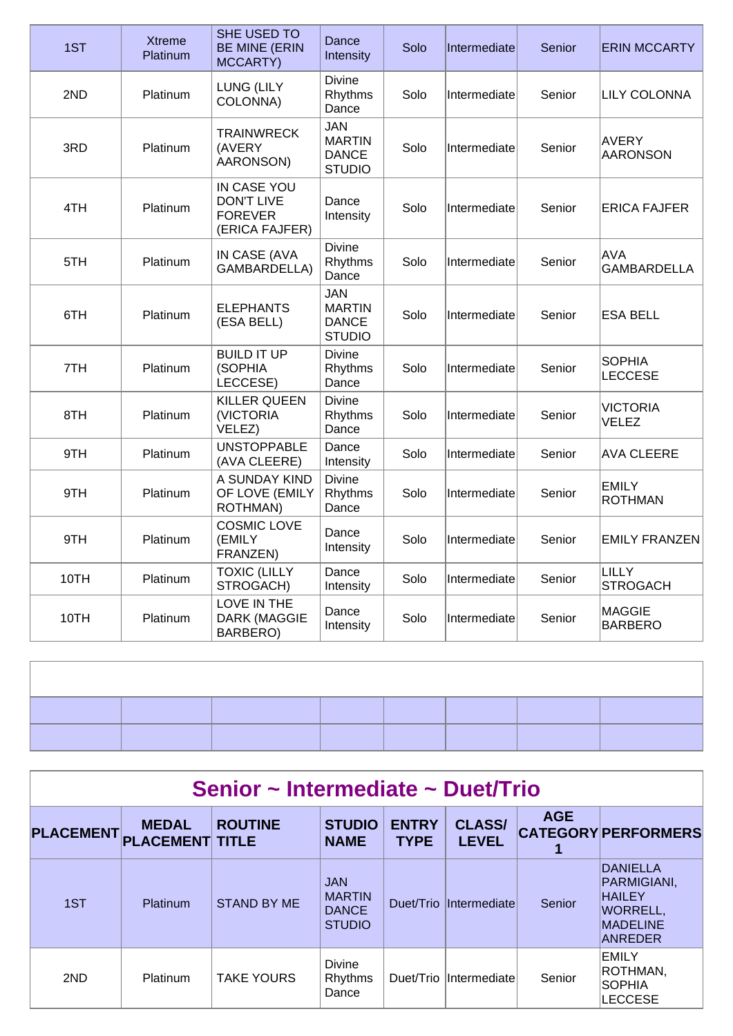| 1ST  | <b>Xtreme</b><br>Platinum | SHE USED TO<br><b>BE MINE (ERIN</b><br>MCCARTY)                      | Dance<br>Intensity                                           | Solo | Intermediate | Senior | <b>ERIN MCCARTY</b>              |
|------|---------------------------|----------------------------------------------------------------------|--------------------------------------------------------------|------|--------------|--------|----------------------------------|
| 2ND  | Platinum                  | LUNG (LILY<br>COLONNA)                                               | <b>Divine</b><br>Rhythms<br>Dance                            | Solo | Intermediate | Senior | <b>LILY COLONNA</b>              |
| 3RD  | Platinum                  | <b>TRAINWRECK</b><br>(AVERY<br>AARONSON)                             | <b>JAN</b><br><b>MARTIN</b><br><b>DANCE</b><br><b>STUDIO</b> | Solo | Intermediate | Senior | <b>AVERY</b><br><b>AARONSON</b>  |
| 4TH  | Platinum                  | IN CASE YOU<br><b>DON'T LIVE</b><br><b>FOREVER</b><br>(ERICA FAJFER) | Dance<br>Intensity                                           | Solo | Intermediate | Senior | <b>ERICA FAJFER</b>              |
| 5TH  | Platinum                  | IN CASE (AVA<br><b>GAMBARDELLA)</b>                                  | <b>Divine</b><br>Rhythms<br>Dance                            | Solo | Intermediate | Senior | <b>AVA</b><br><b>GAMBARDELLA</b> |
| 6TH  | Platinum                  | <b>ELEPHANTS</b><br>(ESA BELL)                                       | <b>JAN</b><br><b>MARTIN</b><br><b>DANCE</b><br><b>STUDIO</b> | Solo | Intermediate | Senior | <b>ESA BELL</b>                  |
| 7TH  | Platinum                  | <b>BUILD IT UP</b><br>(SOPHIA<br>LECCESE)                            | Divine<br>Rhythms<br>Dance                                   | Solo | Intermediate | Senior | <b>SOPHIA</b><br><b>LECCESE</b>  |
| 8TH  | Platinum                  | <b>KILLER QUEEN</b><br>(VICTORIA<br>VELEZ)                           | <b>Divine</b><br>Rhythms<br>Dance                            | Solo | Intermediate | Senior | <b>VICTORIA</b><br><b>VELEZ</b>  |
| 9TH  | Platinum                  | <b>UNSTOPPABLE</b><br>(AVA CLEERE)                                   | Dance<br>Intensity                                           | Solo | Intermediate | Senior | <b>AVA CLEERE</b>                |
| 9TH  | Platinum                  | A SUNDAY KIND<br>OF LOVE (EMILY<br>ROTHMAN)                          | <b>Divine</b><br>Rhythms<br>Dance                            | Solo | Intermediate | Senior | <b>EMILY</b><br><b>ROTHMAN</b>   |
| 9TH  | Platinum                  | <b>COSMIC LOVE</b><br>(EMILY<br>FRANZEN)                             | Dance<br>Intensity                                           | Solo | Intermediate | Senior | <b>EMILY FRANZEN</b>             |
| 10TH | Platinum                  | <b>TOXIC (LILLY</b><br>STROGACH)                                     | Dance<br>Intensity                                           | Solo | Intermediate | Senior | <b>LILLY</b><br><b>STROGACH</b>  |
| 10TH | Platinum                  | LOVE IN THE<br><b>DARK (MAGGIE</b><br>BARBERO)                       | Dance<br>Intensity                                           | Solo | Intermediate | Senior | <b>MAGGIE</b><br><b>BARBERO</b>  |

| Senior ~ Intermediate ~ Duet/Trio |                                        |                    |                                                              |                             |                               |            |                                                                                           |  |  |  |
|-----------------------------------|----------------------------------------|--------------------|--------------------------------------------------------------|-----------------------------|-------------------------------|------------|-------------------------------------------------------------------------------------------|--|--|--|
| <b>PLACEMENT</b>                  | <b>MEDAL</b><br><b>PLACEMENT TITLE</b> | <b>ROUTINE</b>     | <b>STUDIO</b><br><b>NAME</b>                                 | <b>ENTRY</b><br><b>TYPE</b> | <b>CLASS/</b><br><b>LEVEL</b> | <b>AGE</b> | <b>CATEGORY PERFORMERS</b>                                                                |  |  |  |
| 1ST                               | <b>Platinum</b>                        | <b>STAND BY ME</b> | <b>JAN</b><br><b>MARTIN</b><br><b>DANCE</b><br><b>STUDIO</b> |                             | Duet/Trio Intermediate        | Senior     | DANIELLA<br>PARMIGIANI,<br><b>HAILEY</b><br><b>WORRELL,</b><br><b>MADELINE</b><br>ANREDER |  |  |  |
| 2ND                               | Platinum                               | <b>TAKE YOURS</b>  | <b>Divine</b><br>Rhythms<br>Dance                            |                             | Duet/Trio Intermediate        | Senior     | <b>EMILY</b><br>ROTHMAN,<br><b>SOPHIA</b><br><b>LECCESE</b>                               |  |  |  |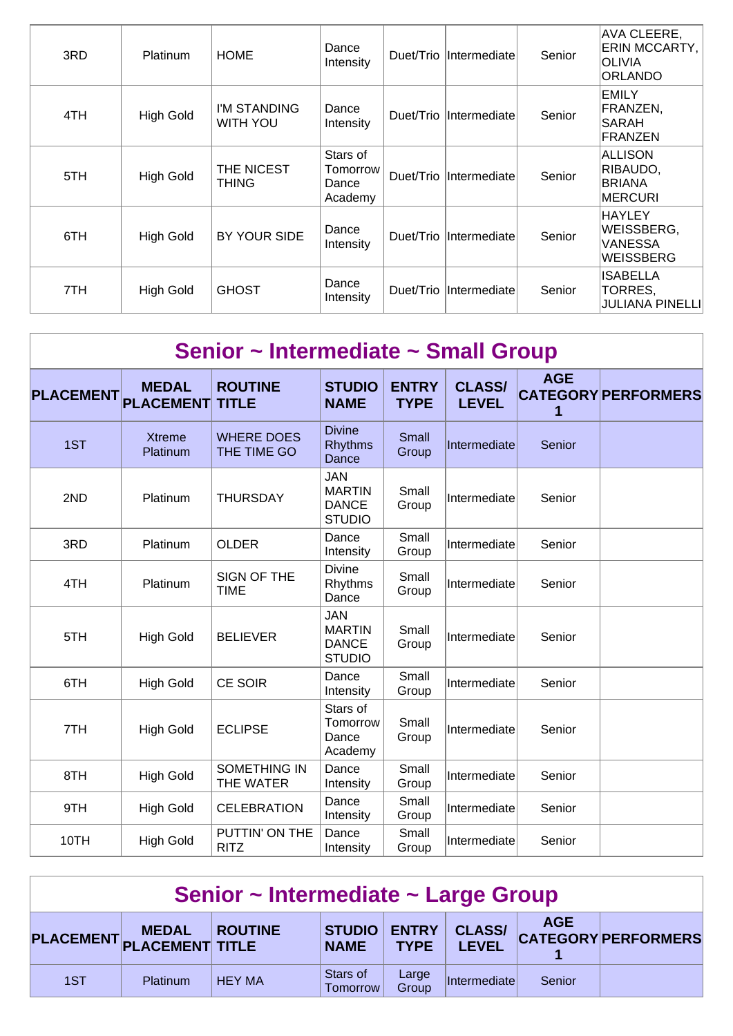| 3RD | <b>Platinum</b>  | <b>HOME</b>                     | Dance<br>Intensity                       |           | Duet/Trio  Intermediate | Senior | AVA CLEERE,<br>ERIN MCCARTY,<br><b>OLIVIA</b><br><b>ORLANDO</b> |
|-----|------------------|---------------------------------|------------------------------------------|-----------|-------------------------|--------|-----------------------------------------------------------------|
| 4TH | <b>High Gold</b> | I'M STANDING<br><b>WITH YOU</b> | Dance<br>Intensity                       | Duet/Trio | <i>Intermediate</i>     | Senior | <b>EMILY</b><br>FRANZEN,<br><b>SARAH</b><br><b>FRANZEN</b>      |
| 5TH | <b>High Gold</b> | THE NICEST<br><b>THING</b>      | Stars of<br>Tomorrow<br>Dance<br>Academy |           | Duet/Trio  Intermediate | Senior | ALLISON<br>RIBAUDO,<br><b>BRIANA</b><br><b>MERCURI</b>          |
| 6TH | <b>High Gold</b> | BY YOUR SIDE                    | Dance<br>Intensity                       |           | Duet/Trio  Intermediate | Senior | <b>HAYLEY</b><br>WEISSBERG,<br>VANESSA<br>WEISSBERG             |
| 7TH | <b>High Gold</b> | <b>GHOST</b>                    | Dance<br>Intensity                       |           | Duet/Trio  Intermediate | Senior | <b>ISABELLA</b><br>TORRES,<br>JULIANA PINELLI                   |

| Senior ~ Intermediate ~ Small Group |                                  |                                  |                                                              |                             |                               |                 |                            |  |  |  |
|-------------------------------------|----------------------------------|----------------------------------|--------------------------------------------------------------|-----------------------------|-------------------------------|-----------------|----------------------------|--|--|--|
| <b>PLACEMENT</b>                    | <b>MEDAL</b><br><b>PLACEMENT</b> | <b>ROUTINE</b><br><b>TITLE</b>   | <b>STUDIO</b><br><b>NAME</b>                                 | <b>ENTRY</b><br><b>TYPE</b> | <b>CLASS/</b><br><b>LEVEL</b> | <b>AGE</b><br>1 | <b>CATEGORY PERFORMERS</b> |  |  |  |
| 1ST                                 | <b>Xtreme</b><br>Platinum        | <b>WHERE DOES</b><br>THE TIME GO | <b>Divine</b><br><b>Rhythms</b><br>Dance                     | Small<br>Group              | Intermediate                  | Senior          |                            |  |  |  |
| 2ND                                 | Platinum                         | <b>THURSDAY</b>                  | <b>JAN</b><br><b>MARTIN</b><br><b>DANCE</b><br><b>STUDIO</b> | Small<br>Group              | Intermediate                  | Senior          |                            |  |  |  |
| 3RD                                 | Platinum                         | <b>OLDER</b>                     | Dance<br>Intensity                                           | Small<br>Group              | Intermediate                  | Senior          |                            |  |  |  |
| 4TH                                 | Platinum                         | SIGN OF THE<br><b>TIME</b>       | <b>Divine</b><br>Rhythms<br>Dance                            | Small<br>Group              | Intermediate                  | Senior          |                            |  |  |  |
| 5TH                                 | <b>High Gold</b>                 | <b>BELIEVER</b>                  | <b>JAN</b><br><b>MARTIN</b><br><b>DANCE</b><br><b>STUDIO</b> | Small<br>Group              | Intermediate                  | Senior          |                            |  |  |  |
| 6TH                                 | <b>High Gold</b>                 | <b>CE SOIR</b>                   | Dance<br>Intensity                                           | Small<br>Group              | Intermediate                  | Senior          |                            |  |  |  |
| 7TH                                 | <b>High Gold</b>                 | <b>ECLIPSE</b>                   | Stars of<br>Tomorrow<br>Dance<br>Academy                     | Small<br>Group              | Intermediate                  | Senior          |                            |  |  |  |
| 8TH                                 | <b>High Gold</b>                 | <b>SOMETHING IN</b><br>THE WATER | Dance<br>Intensity                                           | Small<br>Group              | Intermediate                  | Senior          |                            |  |  |  |
| 9TH                                 | <b>High Gold</b>                 | <b>CELEBRATION</b>               | Dance<br>Intensity                                           | Small<br>Group              | Intermediate                  | Senior          |                            |  |  |  |
| 10TH                                | <b>High Gold</b>                 | PUTTIN' ON THE<br><b>RITZ</b>    | Dance<br>Intensity                                           | Small<br>Group              | Intermediate                  | Senior          |                            |  |  |  |

| Senior ~ Intermediate ~ Large Group |                                           |                |                                 |                |                               |            |                            |  |  |
|-------------------------------------|-------------------------------------------|----------------|---------------------------------|----------------|-------------------------------|------------|----------------------------|--|--|
|                                     | <b>MEDAL</b><br>PLACEMENT PLACEMENT TITLE | <b>ROUTINE</b> | STUDIO   ENTRY  <br><b>NAME</b> | <b>TYPE</b>    | <b>CLASS/</b><br><b>LEVEL</b> | <b>AGE</b> | <b>CATEGORY PERFORMERS</b> |  |  |
| 1ST                                 | Platinum                                  | <b>HEY MA</b>  | Stars of<br>Tomorrow            | Large<br>Group | Intermediate                  | Senior     |                            |  |  |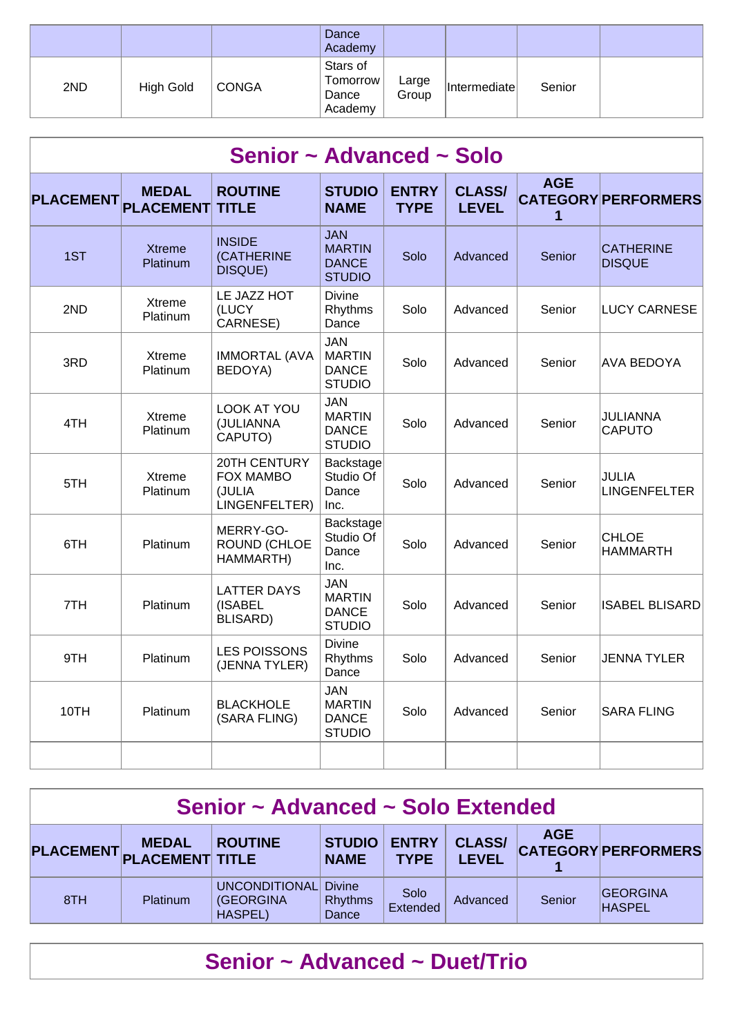|     |           |              | Dance<br>Academy                         |                |              |        |  |
|-----|-----------|--------------|------------------------------------------|----------------|--------------|--------|--|
| 2ND | High Gold | <b>CONGA</b> | Stars of<br>Tomorrow<br>Dance<br>Academy | Large<br>Group | Intermediate | Senior |  |

|                  | Senior ~ Advanced ~ Solo         |                                                             |                                                              |                             |                               |                 |                                   |  |  |  |  |  |
|------------------|----------------------------------|-------------------------------------------------------------|--------------------------------------------------------------|-----------------------------|-------------------------------|-----------------|-----------------------------------|--|--|--|--|--|
| <b>PLACEMENT</b> | <b>MEDAL</b><br><b>PLACEMENT</b> | <b>ROUTINE</b><br><b>TITLE</b>                              | <b>STUDIO</b><br><b>NAME</b>                                 | <b>ENTRY</b><br><b>TYPE</b> | <b>CLASS/</b><br><b>LEVEL</b> | <b>AGE</b><br>1 | <b>CATEGORY PERFORMERS</b>        |  |  |  |  |  |
| 1ST              | <b>Xtreme</b><br>Platinum        | <b>INSIDE</b><br>(CATHERINE<br>DISQUE)                      | JAN<br><b>MARTIN</b><br><b>DANCE</b><br><b>STUDIO</b>        | Solo                        | Advanced                      | <b>Senior</b>   | <b>CATHERINE</b><br><b>DISQUE</b> |  |  |  |  |  |
| 2ND              | Xtreme<br>Platinum               | LE JAZZ HOT<br>(LUCY<br>CARNESE)                            | <b>Divine</b><br>Rhythms<br>Dance                            | Solo                        | Advanced                      | Senior          | <b>LUCY CARNESE</b>               |  |  |  |  |  |
| 3RD              | Xtreme<br>Platinum               | <b>IMMORTAL (AVA</b><br>BEDOYA)                             | JAN<br><b>MARTIN</b><br><b>DANCE</b><br><b>STUDIO</b>        | Solo                        | Advanced                      | Senior          | <b>AVA BEDOYA</b>                 |  |  |  |  |  |
| 4TH              | <b>Xtreme</b><br>Platinum        | LOOK AT YOU<br>(JULIANNA<br>CAPUTO)                         | <b>JAN</b><br><b>MARTIN</b><br><b>DANCE</b><br><b>STUDIO</b> | Solo                        | Advanced                      | Senior          | <b>JULIANNA</b><br><b>CAPUTO</b>  |  |  |  |  |  |
| 5TH              | <b>Xtreme</b><br>Platinum        | 20TH CENTURY<br><b>FOX MAMBO</b><br>(JULIA<br>LINGENFELTER) | Backstage<br>Studio Of<br>Dance<br>Inc.                      | Solo                        | Advanced                      | Senior          | JULIA<br><b>LINGENFELTER</b>      |  |  |  |  |  |
| 6TH              | Platinum                         | MERRY-GO-<br><b>ROUND (CHLOE</b><br>HAMMARTH)               | Backstage<br>Studio Of<br>Dance<br>Inc.                      | Solo                        | Advanced                      | Senior          | <b>CHLOE</b><br><b>HAMMARTH</b>   |  |  |  |  |  |
| 7TH              | Platinum                         | <b>LATTER DAYS</b><br>(ISABEL<br><b>BLISARD)</b>            | <b>JAN</b><br><b>MARTIN</b><br><b>DANCE</b><br><b>STUDIO</b> | Solo                        | Advanced                      | Senior          | <b>ISABEL BLISARD</b>             |  |  |  |  |  |
| 9TH              | Platinum                         | <b>LES POISSONS</b><br>(JENNA TYLER)                        | <b>Divine</b><br>Rhythms<br>Dance                            | Solo                        | Advanced                      | Senior          | <b>JENNA TYLER</b>                |  |  |  |  |  |
| 10TH             | Platinum                         | <b>BLACKHOLE</b><br>(SARA FLING)                            | JAN<br><b>MARTIN</b><br><b>DANCE</b><br><b>STUDIO</b>        | Solo                        | Advanced                      | Senior          | <b>SARA FLING</b>                 |  |  |  |  |  |
|                  |                                  |                                                             |                                                              |                             |                               |                 |                                   |  |  |  |  |  |

| Senior ~ Advanced ~ Solo Extended                                                                                                                                                                       |                 |                                               |                                          |                  |          |        |                                  |  |  |
|---------------------------------------------------------------------------------------------------------------------------------------------------------------------------------------------------------|-----------------|-----------------------------------------------|------------------------------------------|------------------|----------|--------|----------------------------------|--|--|
| <b>AGE</b><br><b>CLASS/</b><br><b>STUDIO</b><br><b>ENTRY</b><br><b>MEDAL</b><br><b>ROUTINE</b><br><b>CATEGORY PERFORMERS</b><br>PLACEMENT PLACEMENT TITLE<br><b>LEVEL</b><br><b>NAME</b><br><b>TYPE</b> |                 |                                               |                                          |                  |          |        |                                  |  |  |
| 8TH                                                                                                                                                                                                     | <b>Platinum</b> | UNCONDITIONAL<br>(GEORGINA)<br><b>HASPEL)</b> | <b>Divine</b><br><b>Rhythms</b><br>Dance | Solo<br>Extended | Advanced | Senior | <b>GEORGINA</b><br><b>HASPEL</b> |  |  |

## **Senior ~ Advanced ~ Duet/Trio**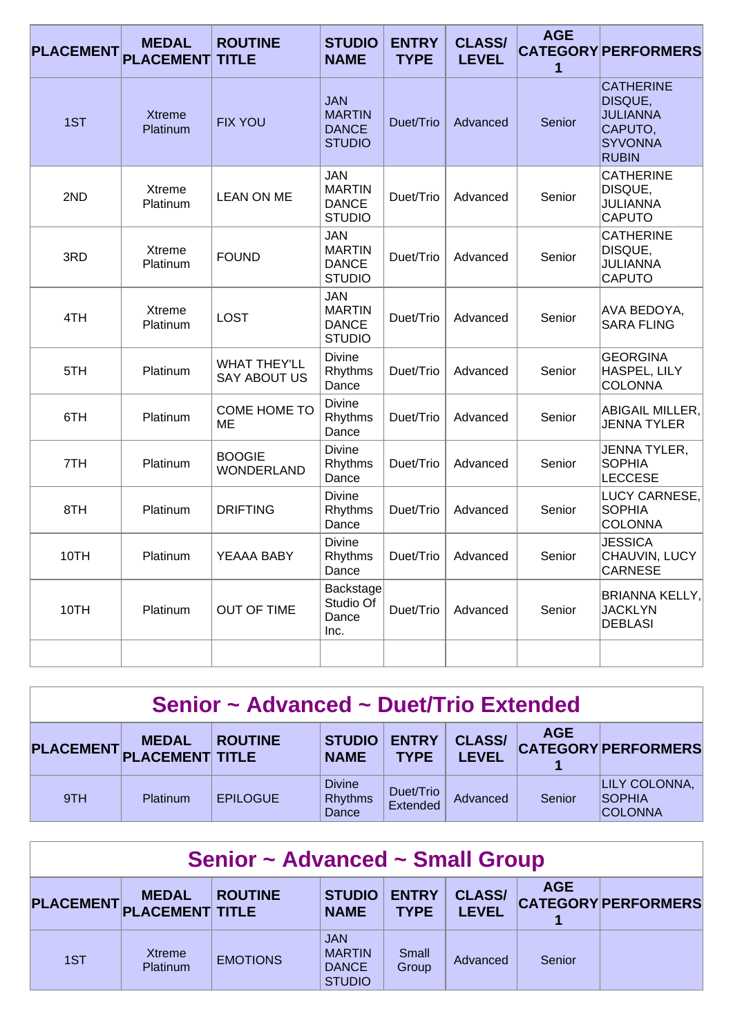| <b>PLACEMENT</b> | <b>MEDAL</b><br><b>PLACEMENT</b> | <b>ROUTINE</b><br><b>TITLE</b>             | <b>STUDIO</b><br><b>NAME</b>                                 | <b>ENTRY</b><br><b>TYPE</b> | <b>CLASS/</b><br><b>LEVEL</b> | <b>AGE</b><br>1 | <b>CATEGORY PERFORMERS</b>                                                                  |
|------------------|----------------------------------|--------------------------------------------|--------------------------------------------------------------|-----------------------------|-------------------------------|-----------------|---------------------------------------------------------------------------------------------|
| 1ST              | <b>Xtreme</b><br>Platinum        | <b>FIX YOU</b>                             | <b>JAN</b><br><b>MARTIN</b><br><b>DANCE</b><br><b>STUDIO</b> | Duet/Trio                   | Advanced                      | Senior          | <b>CATHERINE</b><br>DISQUE,<br><b>JULIANNA</b><br>CAPUTO,<br><b>SYVONNA</b><br><b>RUBIN</b> |
| 2ND              | Xtreme<br>Platinum               | <b>LEAN ON ME</b>                          | <b>JAN</b><br><b>MARTIN</b><br><b>DANCE</b><br><b>STUDIO</b> | Duet/Trio                   | Advanced                      | Senior          | <b>CATHERINE</b><br>DISQUE,<br><b>JULIANNA</b><br><b>CAPUTO</b>                             |
| 3RD              | Xtreme<br>Platinum               | <b>FOUND</b>                               | <b>JAN</b><br><b>MARTIN</b><br><b>DANCE</b><br><b>STUDIO</b> | Duet/Trio                   | Advanced                      | Senior          | <b>CATHERINE</b><br>DISQUE,<br><b>JULIANNA</b><br><b>CAPUTO</b>                             |
| 4TH              | Xtreme<br>Platinum               | <b>LOST</b>                                | <b>JAN</b><br><b>MARTIN</b><br><b>DANCE</b><br><b>STUDIO</b> | Duet/Trio                   | Advanced                      | Senior          | AVA BEDOYA,<br><b>SARA FLING</b>                                                            |
| 5TH              | Platinum                         | <b>WHAT THEY'LL</b><br><b>SAY ABOUT US</b> | <b>Divine</b><br>Rhythms<br>Dance                            | Duet/Trio                   | Advanced                      | Senior          | <b>GEORGINA</b><br>HASPEL, LILY<br><b>COLONNA</b>                                           |
| 6TH              | Platinum                         | COME HOME TO<br>МE                         | <b>Divine</b><br>Rhythms<br>Dance                            | Duet/Trio                   | Advanced                      | Senior          | <b>ABIGAIL MILLER,</b><br><b>JENNA TYLER</b>                                                |
| 7TH              | <b>Platinum</b>                  | <b>BOOGIE</b><br><b>WONDERLAND</b>         | <b>Divine</b><br>Rhythms<br>Dance                            | Duet/Trio                   | Advanced                      | Senior          | JENNA TYLER,<br><b>SOPHIA</b><br><b>LECCESE</b>                                             |
| 8TH              | Platinum                         | <b>DRIFTING</b>                            | <b>Divine</b><br>Rhythms<br>Dance                            | Duet/Trio                   | Advanced                      | Senior          | LUCY CARNESE,<br><b>SOPHIA</b><br><b>COLONNA</b>                                            |
| 10TH             | Platinum                         | YEAAA BABY                                 | <b>Divine</b><br>Rhythms<br>Dance                            | Duet/Trio                   | Advanced                      | Senior          | <b>JESSICA</b><br>CHAUVIN, LUCY<br><b>CARNESE</b>                                           |
| 10TH             | Platinum                         | <b>OUT OF TIME</b>                         | Backstage<br>Studio Of<br>Dance<br>Inc.                      | Duet/Trio                   | Advanced                      | Senior          | <b>BRIANNA KELLY,</b><br><b>JACKLYN</b><br><b>DEBLASI</b>                                   |
|                  |                                  |                                            |                                                              |                             |                               |                 |                                                                                             |

| Senior ~ Advanced ~ Duet/Trio Extended |                 |                 |                                          |                             |                               |            |                                                  |
|----------------------------------------|-----------------|-----------------|------------------------------------------|-----------------------------|-------------------------------|------------|--------------------------------------------------|
| PLACEMENT PLACEMENT TITLE              | <b>MEDAL</b>    | <b>ROUTINE</b>  | <b>STUDIO</b><br><b>NAME</b>             | <b>ENTRY</b><br><b>TYPE</b> | <b>CLASS/</b><br><b>LEVEL</b> | <b>AGE</b> | <b>CATEGORY PERFORMERS</b>                       |
| 9TH                                    | <b>Platinum</b> | <b>EPILOGUE</b> | <b>Divine</b><br><b>Rhythms</b><br>Dance | Duet/Trio<br>Extended       | Advanced                      | Senior     | LILY COLONNA,<br><b>SOPHIA</b><br><b>COLONNA</b> |

| <b>Senior ~ Advanced ~ Small Group</b> |                                        |                 |                                                              |                             |                               |            |                            |  |
|----------------------------------------|----------------------------------------|-----------------|--------------------------------------------------------------|-----------------------------|-------------------------------|------------|----------------------------|--|
| <b>PLACEMENT</b>                       | <b>MEDAL</b><br><b>PLACEMENT TITLE</b> | <b>ROUTINE</b>  | <b>STUDIO</b><br><b>NAME</b>                                 | <b>ENTRY</b><br><b>TYPE</b> | <b>CLASS/</b><br><b>LEVEL</b> | <b>AGE</b> | <b>CATEGORY PERFORMERS</b> |  |
| 1ST                                    | Xtreme<br>Platinum                     | <b>EMOTIONS</b> | <b>JAN</b><br><b>MARTIN</b><br><b>DANCE</b><br><b>STUDIO</b> | Small<br>Group              | Advanced                      | Senior     |                            |  |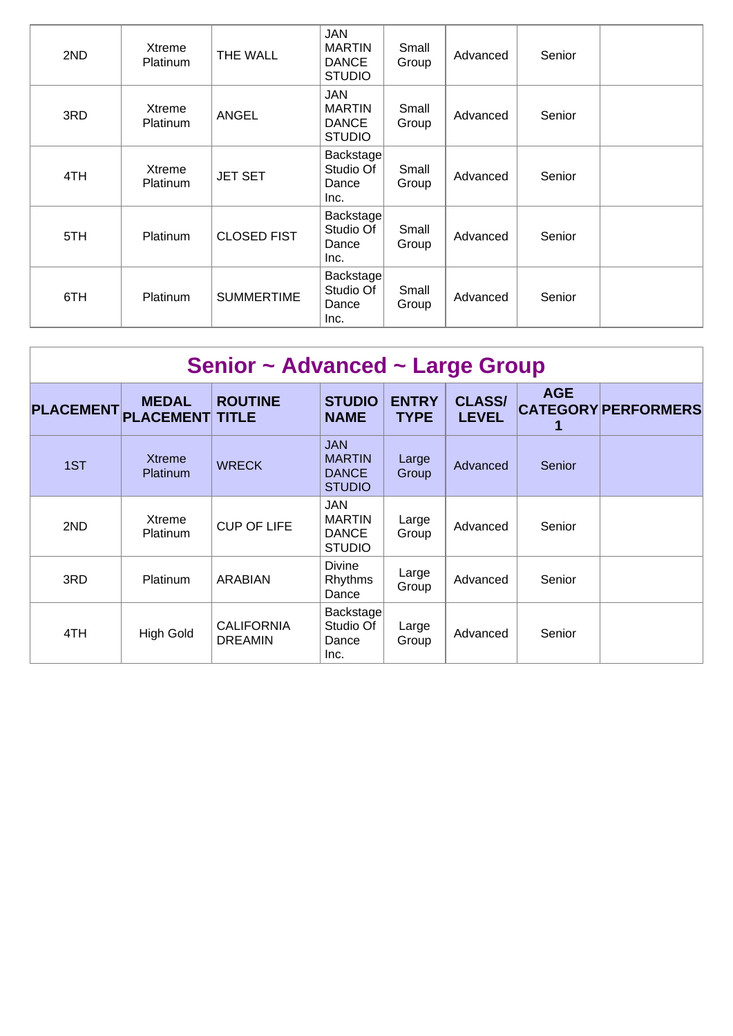| 2ND | Xtreme<br>Platinum        | THE WALL           | <b>JAN</b><br><b>MARTIN</b><br><b>DANCE</b><br><b>STUDIO</b> | Small<br>Group | Advanced | Senior |  |
|-----|---------------------------|--------------------|--------------------------------------------------------------|----------------|----------|--------|--|
| 3RD | Xtreme<br><b>Platinum</b> | ANGEL              | JAN<br><b>MARTIN</b><br><b>DANCE</b><br><b>STUDIO</b>        | Small<br>Group | Advanced | Senior |  |
| 4TH | Xtreme<br>Platinum        | <b>JET SET</b>     | Backstage<br>Studio Of<br>Dance<br>Inc.                      | Small<br>Group | Advanced | Senior |  |
| 5TH | <b>Platinum</b>           | <b>CLOSED FIST</b> | Backstage<br>Studio Of<br>Dance<br>Inc.                      | Small<br>Group | Advanced | Senior |  |
| 6TH | <b>Platinum</b>           | <b>SUMMERTIME</b>  | Backstage<br>Studio Of<br>Dance<br>Inc.                      | Small<br>Group | Advanced | Senior |  |

| Senior ~ Advanced ~ Large Group |                                        |                                     |                                                              |                             |                               |            |                            |  |
|---------------------------------|----------------------------------------|-------------------------------------|--------------------------------------------------------------|-----------------------------|-------------------------------|------------|----------------------------|--|
| <b>PLACEMENT</b>                | <b>MEDAL</b><br><b>PLACEMENT TITLE</b> | <b>ROUTINE</b>                      | <b>STUDIO</b><br><b>NAME</b>                                 | <b>ENTRY</b><br><b>TYPE</b> | <b>CLASS/</b><br><b>LEVEL</b> | <b>AGE</b> | <b>CATEGORY PERFORMERS</b> |  |
| 1ST                             | <b>Xtreme</b><br>Platinum              | <b>WRECK</b>                        | <b>JAN</b><br><b>MARTIN</b><br><b>DANCE</b><br><b>STUDIO</b> | Large<br>Group              | Advanced                      | Senior     |                            |  |
| 2ND                             | Xtreme<br>Platinum                     | <b>CUP OF LIFE</b>                  | JAN<br><b>MARTIN</b><br><b>DANCE</b><br><b>STUDIO</b>        | Large<br>Group              | Advanced                      | Senior     |                            |  |
| 3RD                             | Platinum                               | <b>ARABIAN</b>                      | <b>Divine</b><br>Rhythms<br>Dance                            | Large<br>Group              | Advanced                      | Senior     |                            |  |
| 4TH                             | <b>High Gold</b>                       | <b>CALIFORNIA</b><br><b>DREAMIN</b> | Backstage<br>Studio Of<br>Dance<br>Inc.                      | Large<br>Group              | Advanced                      | Senior     |                            |  |